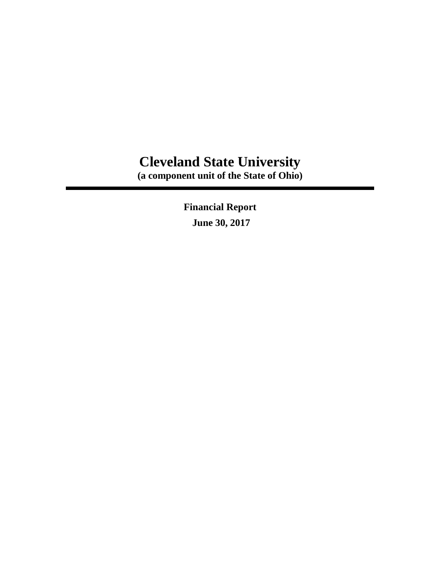# **Cleveland State University**

**(a component unit of the State of Ohio)**

**Financial Report June 30, 2017**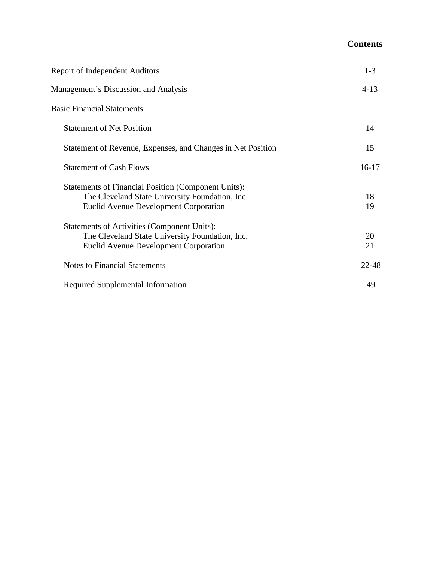# **Contents**

| <b>Report of Independent Auditors</b>                                                                                                                         | $1 - 3$   |
|---------------------------------------------------------------------------------------------------------------------------------------------------------------|-----------|
| <b>Management's Discussion and Analysis</b>                                                                                                                   | $4-13$    |
| <b>Basic Financial Statements</b>                                                                                                                             |           |
| <b>Statement of Net Position</b>                                                                                                                              | 14        |
| Statement of Revenue, Expenses, and Changes in Net Position                                                                                                   | 15        |
| <b>Statement of Cash Flows</b>                                                                                                                                | $16-17$   |
| <b>Statements of Financial Position (Component Units):</b><br>The Cleveland State University Foundation, Inc.<br><b>Euclid Avenue Development Corporation</b> | 18<br>19  |
| Statements of Activities (Component Units):<br>The Cleveland State University Foundation, Inc.<br><b>Euclid Avenue Development Corporation</b>                | 20<br>21  |
| <b>Notes to Financial Statements</b>                                                                                                                          | $22 - 48$ |
| Required Supplemental Information                                                                                                                             | 49        |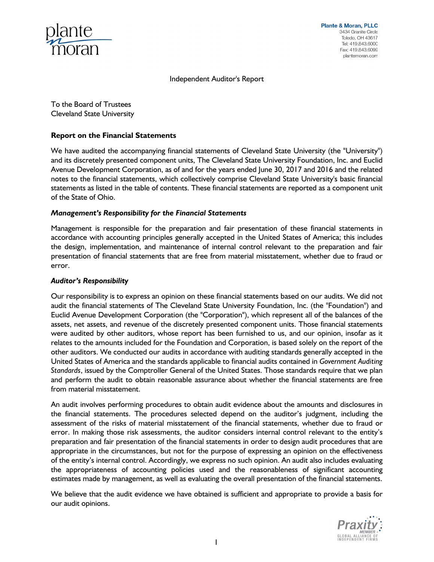

Independent Auditor's Report

To the Board of Trustees Cleveland State University

#### **Report on the Financial Statements**

We have audited the accompanying financial statements of Cleveland State University (the "University") and its discretely presented component units, The Cleveland State University Foundation, Inc. and Euclid Avenue Development Corporation, as of and for the years ended June 30, 2017 and 2016 and the related notes to the financial statements, which collectively comprise Cleveland State University's basic financial statements as listed in the table of contents. These financial statements are reported as a component unit of the State of Ohio.

#### *Management's Responsibility for the Financial Statements*

Management is responsible for the preparation and fair presentation of these financial statements in accordance with accounting principles generally accepted in the United States of America; this includes the design, implementation, and maintenance of internal control relevant to the preparation and fair presentation of financial statements that are free from material misstatement, whether due to fraud or error.

#### *Auditor's Responsibility*

Our responsibility is to express an opinion on these financial statements based on our audits. We did not audit the financial statements of The Cleveland State University Foundation, Inc. (the "Foundation") and Euclid Avenue Development Corporation (the "Corporation"), which represent all of the balances of the assets, net assets, and revenue of the discretely presented component units. Those financial statements were audited by other auditors, whose report has been furnished to us, and our opinion, insofar as it relates to the amounts included for the Foundation and Corporation, is based solely on the report of the other auditors. We conducted our audits in accordance with auditing standards generally accepted in the United States of America and the standards applicable to financial audits contained in *Government Auditing Standards*, issued by the Comptroller General of the United States. Those standards require that we plan and perform the audit to obtain reasonable assurance about whether the financial statements are free from material misstatement.

An audit involves performing procedures to obtain audit evidence about the amounts and disclosures in the financial statements. The procedures selected depend on the auditor's judgment, including the assessment of the risks of material misstatement of the financial statements, whether due to fraud or error. In making those risk assessments, the auditor considers internal control relevant to the entity's preparation and fair presentation of the financial statements in order to design audit procedures that are appropriate in the circumstances, but not for the purpose of expressing an opinion on the effectiveness of the entity's internal control. Accordingly, we express no such opinion. An audit also includes evaluating the appropriateness of accounting policies used and the reasonableness of significant accounting estimates made by management, as well as evaluating the overall presentation of the financial statements.

We believe that the audit evidence we have obtained is sufficient and appropriate to provide a basis for our audit opinions.

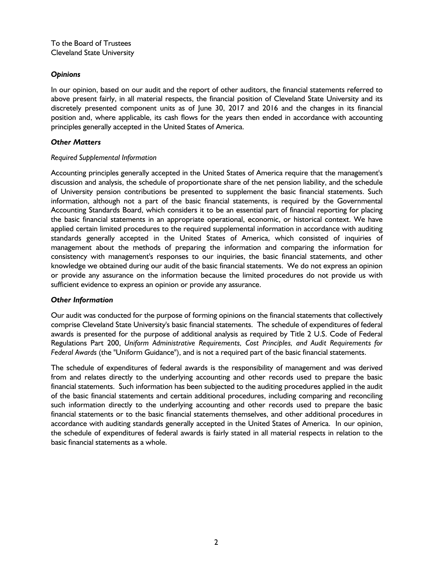# *Opinions*

In our opinion, based on our audit and the report of other auditors, the financial statements referred to above present fairly, in all material respects, the financial position of Cleveland State University and its discretely presented component units as of June 30, 2017 and 2016 and the changes in its financial position and, where applicable, its cash flows for the years then ended in accordance with accounting principles generally accepted in the United States of America.

# *Other Matters*

## *Required Supplemental Information*

Accounting principles generally accepted in the United States of America require that the management's discussion and analysis, the schedule of proportionate share of the net pension liability, and the schedule of University pension contributions be presented to supplement the basic financial statements. Such information, although not a part of the basic financial statements, is required by the Governmental Accounting Standards Board, which considers it to be an essential part of financial reporting for placing the basic financial statements in an appropriate operational, economic, or historical context. We have applied certain limited procedures to the required supplemental information in accordance with auditing standards generally accepted in the United States of America, which consisted of inquiries of management about the methods of preparing the information and comparing the information for consistency with management's responses to our inquiries, the basic financial statements, and other knowledge we obtained during our audit of the basic financial statements. We do not express an opinion or provide any assurance on the information because the limited procedures do not provide us with sufficient evidence to express an opinion or provide any assurance.

## *Other Information*

Our audit was conducted for the purpose of forming opinions on the financial statements that collectively comprise Cleveland State University's basic financial statements. The schedule of expenditures of federal awards is presented for the purpose of additional analysis as required by Title 2 U.S. Code of Federal Regulations Part 200, *Uniform Administrative Requirements, Cost Principles, and Audit Requirements for Federal Awards* (the "Uniform Guidance"), and is not a required part of the basic financial statements.

The schedule of expenditures of federal awards is the responsibility of management and was derived from and relates directly to the underlying accounting and other records used to prepare the basic financial statements. Such information has been subjected to the auditing procedures applied in the audit of the basic financial statements and certain additional procedures, including comparing and reconciling such information directly to the underlying accounting and other records used to prepare the basic financial statements or to the basic financial statements themselves, and other additional procedures in accordance with auditing standards generally accepted in the United States of America. In our opinion, the schedule of expenditures of federal awards is fairly stated in all material respects in relation to the basic financial statements as a whole.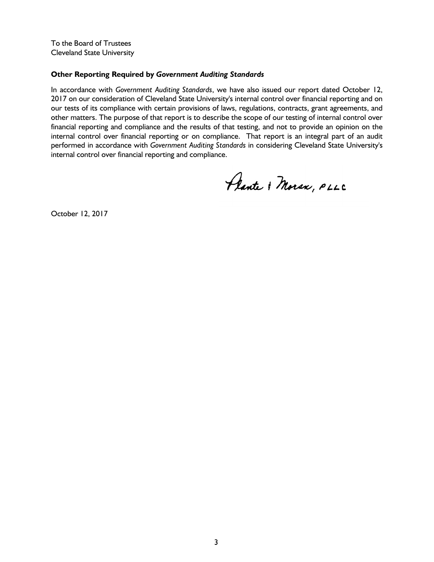To the Board of Trustees Cleveland State University

## **Other Reporting Required by** *Government Auditing Standards*

In accordance with *Government Auditing Standards*, we have also issued our report dated October 12, 2017 on our consideration of Cleveland State University's internal control over financial reporting and on our tests of its compliance with certain provisions of laws, regulations, contracts, grant agreements, and other matters. The purpose of that report is to describe the scope of our testing of internal control over financial reporting and compliance and the results of that testing, and not to provide an opinion on the internal control over financial reporting or on compliance. That report is an integral part of an audit performed in accordance with *Government Auditing Standards* in considering Cleveland State University's internal control over financial reporting and compliance.

Plante & Moran, PLLC

October 12, 2017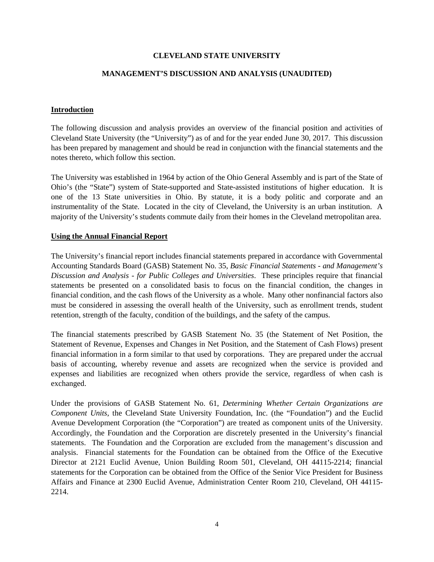#### **CLEVELAND STATE UNIVERSITY**

#### **MANAGEMENT'S DISCUSSION AND ANALYSIS (UNAUDITED)**

#### **Introduction**

The following discussion and analysis provides an overview of the financial position and activities of Cleveland State University (the "University") as of and for the year ended June 30, 2017. This discussion has been prepared by management and should be read in conjunction with the financial statements and the notes thereto, which follow this section.

The University was established in 1964 by action of the Ohio General Assembly and is part of the State of Ohio's (the "State") system of State-supported and State-assisted institutions of higher education. It is one of the 13 State universities in Ohio. By statute, it is a body politic and corporate and an instrumentality of the State. Located in the city of Cleveland, the University is an urban institution. A majority of the University's students commute daily from their homes in the Cleveland metropolitan area.

#### **Using the Annual Financial Report**

The University's financial report includes financial statements prepared in accordance with Governmental Accounting Standards Board (GASB) Statement No. 35, *Basic Financial Statements - and Management's Discussion and Analysis - for Public Colleges and Universities*. These principles require that financial statements be presented on a consolidated basis to focus on the financial condition, the changes in financial condition, and the cash flows of the University as a whole. Many other nonfinancial factors also must be considered in assessing the overall health of the University, such as enrollment trends, student retention, strength of the faculty, condition of the buildings, and the safety of the campus.

The financial statements prescribed by GASB Statement No. 35 (the Statement of Net Position, the Statement of Revenue, Expenses and Changes in Net Position, and the Statement of Cash Flows) present financial information in a form similar to that used by corporations. They are prepared under the accrual basis of accounting, whereby revenue and assets are recognized when the service is provided and expenses and liabilities are recognized when others provide the service, regardless of when cash is exchanged.

Under the provisions of GASB Statement No. 61, *Determining Whether Certain Organizations are Component Units*, the Cleveland State University Foundation, Inc. (the "Foundation") and the Euclid Avenue Development Corporation (the "Corporation") are treated as component units of the University. Accordingly, the Foundation and the Corporation are discretely presented in the University's financial statements. The Foundation and the Corporation are excluded from the management's discussion and analysis. Financial statements for the Foundation can be obtained from the Office of the Executive Director at 2121 Euclid Avenue, Union Building Room 501, Cleveland, OH 44115-2214; financial statements for the Corporation can be obtained from the Office of the Senior Vice President for Business Affairs and Finance at 2300 Euclid Avenue, Administration Center Room 210, Cleveland, OH 44115- 2214.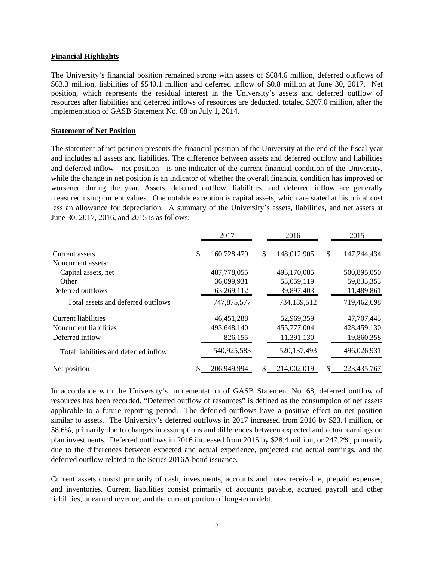#### **Financial Highlights**

The University's financial position remained strong with assets of \$684.6 million, deferred outflows of \$63.3 million, liabilities of \$540.1 million and deferred inflow of \$0.8 million at June 30, 2017. Net position, which represents the residual interest in the University's assets and deferred outflow of resources after liabilities and deferred inflows of resources are deducted, totaled \$207.0 million, after the implementation of GASB Statement No. 68 on July 1, 2014.

#### **Statement of Net Position**

The statement of net position presents the financial position of the University at the end of the fiscal year and includes all assets and liabilities. The difference between assets and deferred outflow and liabilities and deferred inflow - net position - is one indicator of the current financial condition of the University, while the change in net position is an indicator of whether the overall financial condition has improved or worsened during the year. Assets, deferred outflow, liabilities, and deferred inflow are generally measured using current values. One notable exception is capital assets, which are stated at historical cost less an allowance for depreciation. A summary of the University's assets, liabilities, and net assets at June 30, 2017, 2016, and 2015 is as follows:

|                                       |    | 2017         | 2016 |             |    | 2015        |
|---------------------------------------|----|--------------|------|-------------|----|-------------|
| Current assets                        | \$ | 160,728,479  | \$   | 148,012,905 | \$ | 147,244,434 |
| Noncurrent assets:                    |    |              |      |             |    |             |
| Capital assets, net                   |    | 487,778,055  |      | 493,170,085 |    | 500,895,050 |
| Other                                 |    | 36,099,931   |      | 53,059,119  |    | 59,833,353  |
| Deferred outflows                     |    | 63,269,112   |      | 39,897,403  |    | 11,489,861  |
| Total assets and deferred outflows    |    | 747,875,577  |      | 734,139,512 |    | 719,462,698 |
| Current liabilities                   |    | 46, 451, 288 |      | 52,969,359  |    | 47,707,443  |
| Noncurrent liabilities                |    | 493.648.140  |      | 455,777,004 |    | 428,459,130 |
| Deferred inflow                       |    | 826,155      |      | 11,391,130  |    | 19,860,358  |
| Total liabilities and deferred inflow |    | 540,925,583  |      | 520,137,493 |    | 496,026,931 |
| Net position                          |    | 206,949,994  | S.   | 214,002,019 | \$ | 223,435,767 |

In accordance with the University's implementation of GASB Statement No. 68, deferred outflow of resources has been recorded. "Deferred outflow of resources" is defined as the consumption of net assets applicable to a future reporting period. The deferred outflows have a positive effect on net position similar to assets. The University's deferred outflows in 2017 increased from 2016 by \$23.4 million, or 58.6%, primarily due to changes in assumptions and differences between expected and actual earnings on plan investments. Deferred outflows in 2016 increased from 2015 by \$28.4 million, or 247.2%, primarily due to the differences between expected and actual experience, projected and actual earnings, and the deferred outflow related to the Series 2016A bond issuance.

Current assets consist primarily of cash, investments, accounts and notes receivable, prepaid expenses, and inventories. Current liabilities consist primarily of accounts payable, accrued payroll and other liabilities, unearned revenue, and the current portion of long-term debt.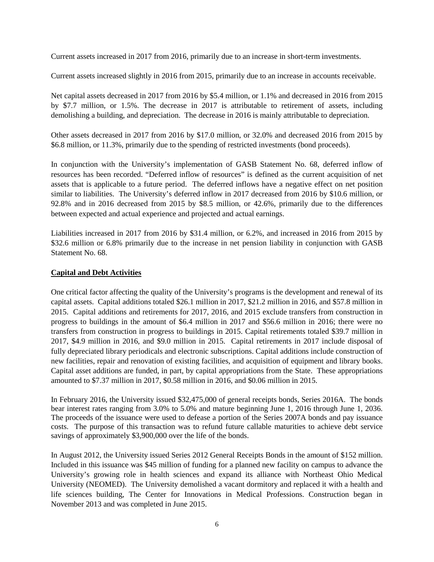Current assets increased in 2017 from 2016, primarily due to an increase in short-term investments.

Current assets increased slightly in 2016 from 2015, primarily due to an increase in accounts receivable.

Net capital assets decreased in 2017 from 2016 by \$5.4 million, or 1.1% and decreased in 2016 from 2015 by \$7.7 million, or 1.5%. The decrease in 2017 is attributable to retirement of assets, including demolishing a building, and depreciation. The decrease in 2016 is mainly attributable to depreciation.

Other assets decreased in 2017 from 2016 by \$17.0 million, or 32.0% and decreased 2016 from 2015 by \$6.8 million, or 11.3%, primarily due to the spending of restricted investments (bond proceeds).

In conjunction with the University's implementation of GASB Statement No. 68, deferred inflow of resources has been recorded. "Deferred inflow of resources" is defined as the current acquisition of net assets that is applicable to a future period. The deferred inflows have a negative effect on net position similar to liabilities. The University's deferred inflow in 2017 decreased from 2016 by \$10.6 million, or 92.8% and in 2016 decreased from 2015 by \$8.5 million, or 42.6%, primarily due to the differences between expected and actual experience and projected and actual earnings.

Liabilities increased in 2017 from 2016 by \$31.4 million, or 6.2%, and increased in 2016 from 2015 by \$32.6 million or 6.8% primarily due to the increase in net pension liability in conjunction with GASB Statement No. 68.

# **Capital and Debt Activities**

One critical factor affecting the quality of the University's programs is the development and renewal of its capital assets. Capital additions totaled \$26.1 million in 2017, \$21.2 million in 2016, and \$57.8 million in 2015. Capital additions and retirements for 2017, 2016, and 2015 exclude transfers from construction in progress to buildings in the amount of \$6.4 million in 2017 and \$56.6 million in 2016; there were no transfers from construction in progress to buildings in 2015. Capital retirements totaled \$39.7 million in 2017, \$4.9 million in 2016, and \$9.0 million in 2015. Capital retirements in 2017 include disposal of fully depreciated library periodicals and electronic subscriptions. Capital additions include construction of new facilities, repair and renovation of existing facilities, and acquisition of equipment and library books. Capital asset additions are funded, in part, by capital appropriations from the State. These appropriations amounted to \$7.37 million in 2017, \$0.58 million in 2016, and \$0.06 million in 2015.

In February 2016, the University issued \$32,475,000 of general receipts bonds, Series 2016A. The bonds bear interest rates ranging from 3.0% to 5.0% and mature beginning June 1, 2016 through June 1, 2036. The proceeds of the issuance were used to defease a portion of the Series 2007A bonds and pay issuance costs. The purpose of this transaction was to refund future callable maturities to achieve debt service savings of approximately \$3,900,000 over the life of the bonds.

In August 2012, the University issued Series 2012 General Receipts Bonds in the amount of \$152 million. Included in this issuance was \$45 million of funding for a planned new facility on campus to advance the University's growing role in health sciences and expand its alliance with Northeast Ohio Medical University (NEOMED). The University demolished a vacant dormitory and replaced it with a health and life sciences building, The Center for Innovations in Medical Professions. Construction began in November 2013 and was completed in June 2015.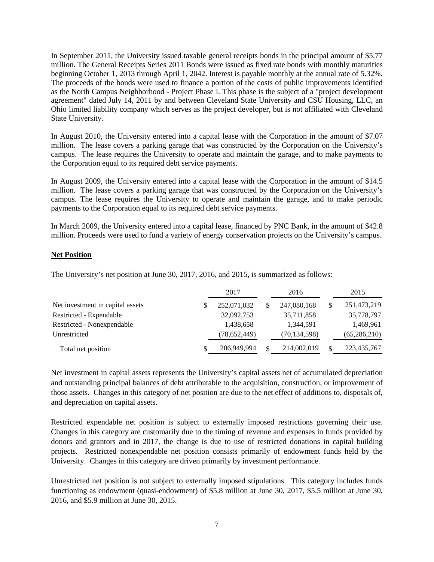In September 2011, the University issued taxable general receipts bonds in the principal amount of \$5.77 million. The General Receipts Series 2011 Bonds were issued as fixed rate bonds with monthly maturities beginning October 1, 2013 through April 1, 2042. Interest is payable monthly at the annual rate of 5.32%. The proceeds of the bonds were used to finance a portion of the costs of public improvements identified as the North Campus Neighborhood - Project Phase I. This phase is the subject of a "project development agreement" dated July 14, 2011 by and between Cleveland State University and CSU Housing, LLC, an Ohio limited liability company which serves as the project developer, but is not affiliated with Cleveland State University.

In August 2010, the University entered into a capital lease with the Corporation in the amount of \$7.07 million. The lease covers a parking garage that was constructed by the Corporation on the University's campus. The lease requires the University to operate and maintain the garage, and to make payments to the Corporation equal to its required debt service payments.

In August 2009, the University entered into a capital lease with the Corporation in the amount of \$14.5 million. The lease covers a parking garage that was constructed by the Corporation on the University's campus. The lease requires the University to operate and maintain the garage, and to make periodic payments to the Corporation equal to its required debt service payments.

In March 2009, the University entered into a capital lease, financed by PNC Bank, in the amount of \$42.8 million. Proceeds were used to fund a variety of energy conservation projects on the University's campus.

## **Net Position**

The University's net position at June 30, 2017, 2016, and 2015, is summarized as follows:

|                                  | 2017 |              |  | 2016           | 2015           |  |
|----------------------------------|------|--------------|--|----------------|----------------|--|
| Net investment in capital assets |      | 252,071,032  |  | 247,080,168    | 251,473,219    |  |
| Restricted - Expendable          |      | 32,092,753   |  | 35,711,858     | 35,778,797     |  |
| Restricted - Nonexpendable       |      | 1,438,658    |  | 1,344,591      | 1,469,961      |  |
| Unrestricted                     |      | (78,652,449) |  | (70, 134, 598) | (65, 286, 210) |  |
| Total net position               |      | 206,949,994  |  | 214,002,019    | 223,435,767    |  |

Net investment in capital assets represents the University's capital assets net of accumulated depreciation and outstanding principal balances of debt attributable to the acquisition, construction, or improvement of those assets. Changes in this category of net position are due to the net effect of additions to, disposals of, and depreciation on capital assets.

Restricted expendable net position is subject to externally imposed restrictions governing their use. Changes in this category are customarily due to the timing of revenue and expenses in funds provided by donors and grantors and in 2017, the change is due to use of restricted donations in capital building projects. Restricted nonexpendable net position consists primarily of endowment funds held by the University. Changes in this category are driven primarily by investment performance.

Unrestricted net position is not subject to externally imposed stipulations. This category includes funds functioning as endowment (quasi-endowment) of \$5.8 million at June 30, 2017, \$5.5 million at June 30, 2016, and \$5.9 million at June 30, 2015.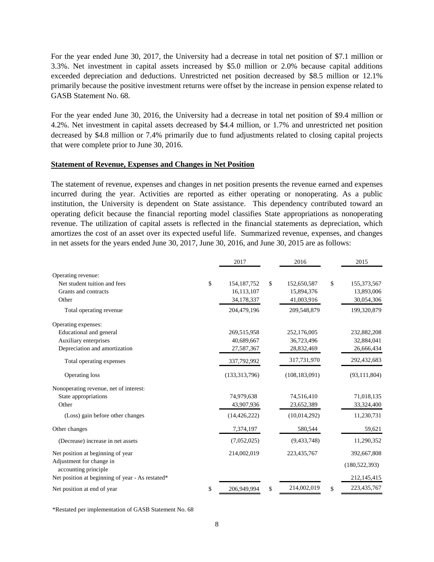For the year ended June 30, 2017, the University had a decrease in total net position of \$7.1 million or 3.3%. Net investment in capital assets increased by \$5.0 million or 2.0% because capital additions exceeded depreciation and deductions. Unrestricted net position decreased by \$8.5 million or 12.1% primarily because the positive investment returns were offset by the increase in pension expense related to GASB Statement No. 68.

For the year ended June 30, 2016, the University had a decrease in total net position of \$9.4 million or 4.2%. Net investment in capital assets decreased by \$4.4 million, or 1.7% and unrestricted net position decreased by \$4.8 million or 7.4% primarily due to fund adjustments related to closing capital projects that were complete prior to June 30, 2016.

#### **Statement of Revenue, Expenses and Changes in Net Position**

The statement of revenue, expenses and changes in net position presents the revenue earned and expenses incurred during the year. Activities are reported as either operating or nonoperating. As a public institution, the University is dependent on State assistance. This dependency contributed toward an operating deficit because the financial reporting model classifies State appropriations as nonoperating revenue. The utilization of capital assets is reflected in the financial statements as depreciation, which amortizes the cost of an asset over its expected useful life. Summarized revenue, expenses, and changes in net assets for the years ended June 30, 2017, June 30, 2016, and June 30, 2015 are as follows:

|                                                  | 2017                | 2016              |               | 2015            |
|--------------------------------------------------|---------------------|-------------------|---------------|-----------------|
| Operating revenue:                               |                     |                   |               |                 |
| Net student tuition and fees                     | \$<br>154, 187, 752 | \$<br>152,650,587 | $\mathsf{\$}$ | 155,373,567     |
| Grants and contracts                             | 16,113,107          | 15,894,376        |               | 13,893,006      |
| Other                                            | 34,178,337          | 41,003,916        |               | 30,054,306      |
| Total operating revenue                          | 204,479,196         | 209,548,879       |               | 199,320,879     |
| Operating expenses:                              |                     |                   |               |                 |
| Educational and general                          | 269,515,958         | 252,176,005       |               | 232,882,208     |
| Auxiliary enterprises                            | 40,689,667          | 36,723,496        |               | 32,884,041      |
| Depreciation and amortization                    | 27,587,367          | 28,832,469        |               | 26,666,434      |
| Total operating expenses                         | 337,792,992         | 317,731,970       |               | 292,432,683     |
| Operating loss                                   | (133,313,796)       | (108, 183, 091)   |               | (93, 111, 804)  |
| Nonoperating revenue, net of interest:           |                     |                   |               |                 |
| State appropriations                             | 74,979,638          | 74,516,410        |               | 71,018,135      |
| Other                                            | 43,907,936          | 23,652,389        |               | 33,324,400      |
| (Loss) gain before other changes                 | (14, 426, 222)      | (10,014,292)      |               | 11,230,731      |
| Other changes                                    | 7,374,197           | 580,544           |               | 59,621          |
| (Decrease) increase in net assets                | (7,052,025)         | (9, 433, 748)     |               | 11,290,352      |
| Net position at beginning of year                | 214,002,019         | 223,435,767       |               | 392,667,808     |
| Adjustment for change in<br>accounting principle |                     |                   |               | (180, 522, 393) |
| Net position at beginning of year - As restated* |                     |                   |               | 212,145,415     |
| Net position at end of year                      | \$<br>206,949,994   | \$<br>214,002,019 | \$            | 223, 435, 767   |

\*Restated per implementation of GASB Statement No. 68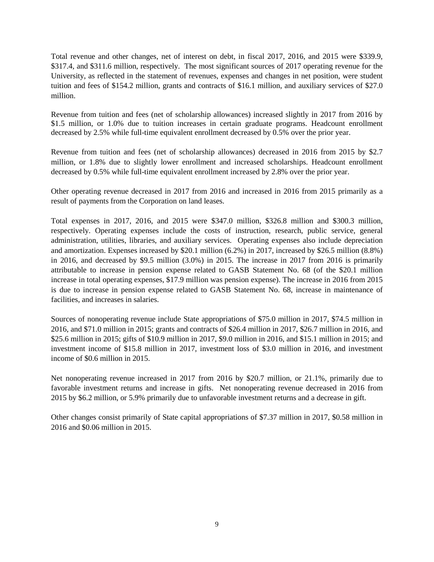Total revenue and other changes, net of interest on debt, in fiscal 2017, 2016, and 2015 were \$339.9, \$317.4, and \$311.6 million, respectively. The most significant sources of 2017 operating revenue for the University, as reflected in the statement of revenues, expenses and changes in net position, were student tuition and fees of \$154.2 million, grants and contracts of \$16.1 million, and auxiliary services of \$27.0 million.

Revenue from tuition and fees (net of scholarship allowances) increased slightly in 2017 from 2016 by \$1.5 million, or 1.0% due to tuition increases in certain graduate programs. Headcount enrollment decreased by 2.5% while full-time equivalent enrollment decreased by 0.5% over the prior year.

Revenue from tuition and fees (net of scholarship allowances) decreased in 2016 from 2015 by \$2.7 million, or 1.8% due to slightly lower enrollment and increased scholarships. Headcount enrollment decreased by 0.5% while full-time equivalent enrollment increased by 2.8% over the prior year.

Other operating revenue decreased in 2017 from 2016 and increased in 2016 from 2015 primarily as a result of payments from the Corporation on land leases.

Total expenses in 2017, 2016, and 2015 were \$347.0 million, \$326.8 million and \$300.3 million, respectively. Operating expenses include the costs of instruction, research, public service, general administration, utilities, libraries, and auxiliary services. Operating expenses also include depreciation and amortization. Expenses increased by \$20.1 million (6.2%) in 2017, increased by \$26.5 million (8.8%) in 2016, and decreased by \$9.5 million (3.0%) in 2015. The increase in 2017 from 2016 is primarily attributable to increase in pension expense related to GASB Statement No. 68 (of the \$20.1 million increase in total operating expenses, \$17.9 million was pension expense). The increase in 2016 from 2015 is due to increase in pension expense related to GASB Statement No. 68, increase in maintenance of facilities, and increases in salaries.

Sources of nonoperating revenue include State appropriations of \$75.0 million in 2017, \$74.5 million in 2016, and \$71.0 million in 2015; grants and contracts of \$26.4 million in 2017, \$26.7 million in 2016, and \$25.6 million in 2015; gifts of \$10.9 million in 2017, \$9.0 million in 2016, and \$15.1 million in 2015; and investment income of \$15.8 million in 2017, investment loss of \$3.0 million in 2016, and investment income of \$0.6 million in 2015.

Net nonoperating revenue increased in 2017 from 2016 by \$20.7 million, or 21.1%, primarily due to favorable investment returns and increase in gifts. Net nonoperating revenue decreased in 2016 from 2015 by \$6.2 million, or 5.9% primarily due to unfavorable investment returns and a decrease in gift.

Other changes consist primarily of State capital appropriations of \$7.37 million in 2017, \$0.58 million in 2016 and \$0.06 million in 2015.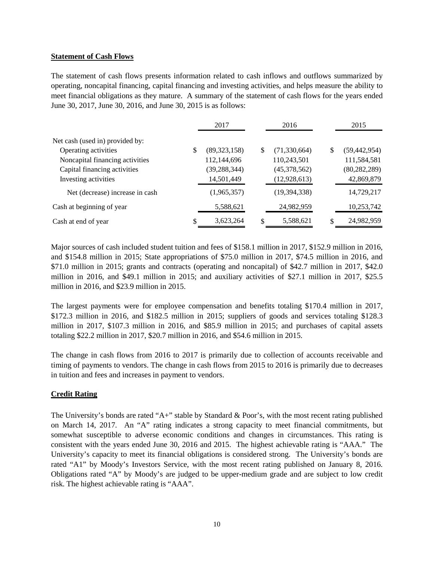## **Statement of Cash Flows**

The statement of cash flows presents information related to cash inflows and outflows summarized by operating, noncapital financing, capital financing and investing activities, and helps measure the ability to meet financial obligations as they mature. A summary of the statement of cash flows for the years ended June 30, 2017, June 30, 2016, and June 30, 2015 is as follows:

|                                 | 2017<br>2016         |    | 2015           |                      |
|---------------------------------|----------------------|----|----------------|----------------------|
| Net cash (used in) provided by: |                      |    |                |                      |
| Operating activities            | \$<br>(89, 323, 158) | \$ | (71, 330, 664) | \$<br>(59, 442, 954) |
| Noncapital financing activities | 112,144,696          |    | 110,243,501    | 111,584,581          |
| Capital financing activities    | (39, 288, 344)       |    | (45,378,562)   | (80, 282, 289)       |
| Investing activities            | 14,501,449           |    | (12, 928, 613) | 42,869,879           |
| Net (decrease) increase in cash | (1,965,357)          |    | (19, 394, 338) | 14,729,217           |
| Cash at beginning of year       | 5,588,621            |    | 24,982,959     | 10,253,742           |
| Cash at end of year             | \$<br>3,623,264      |    | 5,588,621      | 24,982,959           |

Major sources of cash included student tuition and fees of \$158.1 million in 2017, \$152.9 million in 2016, and \$154.8 million in 2015; State appropriations of \$75.0 million in 2017, \$74.5 million in 2016, and \$71.0 million in 2015; grants and contracts (operating and noncapital) of \$42.7 million in 2017, \$42.0 million in 2016, and \$49.1 million in 2015; and auxiliary activities of \$27.1 million in 2017, \$25.5 million in 2016, and \$23.9 million in 2015.

The largest payments were for employee compensation and benefits totaling \$170.4 million in 2017, \$172.3 million in 2016, and \$182.5 million in 2015; suppliers of goods and services totaling \$128.3 million in 2017, \$107.3 million in 2016, and \$85.9 million in 2015; and purchases of capital assets totaling \$22.2 million in 2017, \$20.7 million in 2016, and \$54.6 million in 2015.

The change in cash flows from 2016 to 2017 is primarily due to collection of accounts receivable and timing of payments to vendors. The change in cash flows from 2015 to 2016 is primarily due to decreases in tuition and fees and increases in payment to vendors.

## **Credit Rating**

The University's bonds are rated "A+" stable by Standard & Poor's, with the most recent rating published on March 14, 2017. An "A" rating indicates a strong capacity to meet financial commitments, but somewhat susceptible to adverse economic conditions and changes in circumstances. This rating is consistent with the years ended June 30, 2016 and 2015. The highest achievable rating is "AAA." The University's capacity to meet its financial obligations is considered strong. The University's bonds are rated "A1" by Moody's Investors Service, with the most recent rating published on January 8, 2016. Obligations rated "A" by Moody's are judged to be upper-medium grade and are subject to low credit risk. The highest achievable rating is "AAA".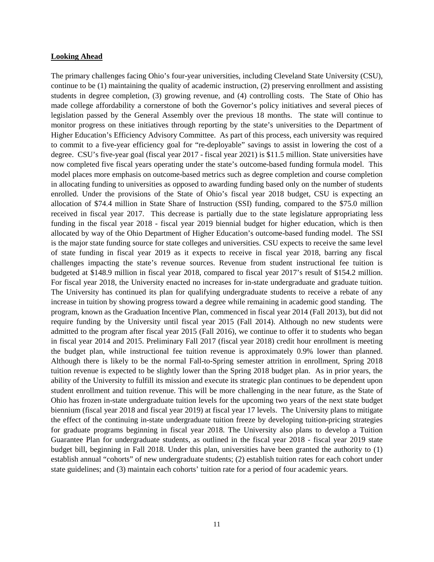#### **Looking Ahead**

The primary challenges facing Ohio's four-year universities, including Cleveland State University (CSU), continue to be (1) maintaining the quality of academic instruction, (2) preserving enrollment and assisting students in degree completion, (3) growing revenue, and (4) controlling costs. The State of Ohio has made college affordability a cornerstone of both the Governor's policy initiatives and several pieces of legislation passed by the General Assembly over the previous 18 months. The state will continue to monitor progress on these initiatives through reporting by the state's universities to the Department of Higher Education's Efficiency Advisory Committee. As part of this process, each university was required to commit to a five-year efficiency goal for "re-deployable" savings to assist in lowering the cost of a degree. CSU's five-year goal (fiscal year 2017 - fiscal year 2021) is \$11.5 million. State universities have now completed five fiscal years operating under the state's outcome-based funding formula model. This model places more emphasis on outcome-based metrics such as degree completion and course completion in allocating funding to universities as opposed to awarding funding based only on the number of students enrolled. Under the provisions of the State of Ohio's fiscal year 2018 budget, CSU is expecting an allocation of \$74.4 million in State Share of Instruction (SSI) funding, compared to the \$75.0 million received in fiscal year 2017. This decrease is partially due to the state legislature appropriating less funding in the fiscal year 2018 - fiscal year 2019 biennial budget for higher education, which is then allocated by way of the Ohio Department of Higher Education's outcome-based funding model. The SSI is the major state funding source for state colleges and universities. CSU expects to receive the same level of state funding in fiscal year 2019 as it expects to receive in fiscal year 2018, barring any fiscal challenges impacting the state's revenue sources. Revenue from student instructional fee tuition is budgeted at \$148.9 million in fiscal year 2018, compared to fiscal year 2017's result of \$154.2 million. For fiscal year 2018, the University enacted no increases for in-state undergraduate and graduate tuition. The University has continued its plan for qualifying undergraduate students to receive a rebate of any increase in tuition by showing progress toward a degree while remaining in academic good standing. The program, known as the Graduation Incentive Plan, commenced in fiscal year 2014 (Fall 2013), but did not require funding by the University until fiscal year 2015 (Fall 2014). Although no new students were admitted to the program after fiscal year 2015 (Fall 2016), we continue to offer it to students who began in fiscal year 2014 and 2015. Preliminary Fall 2017 (fiscal year 2018) credit hour enrollment is meeting the budget plan, while instructional fee tuition revenue is approximately 0.9% lower than planned. Although there is likely to be the normal Fall-to-Spring semester attrition in enrollment, Spring 2018 tuition revenue is expected to be slightly lower than the Spring 2018 budget plan. As in prior years, the ability of the University to fulfill its mission and execute its strategic plan continues to be dependent upon student enrollment and tuition revenue. This will be more challenging in the near future, as the State of Ohio has frozen in-state undergraduate tuition levels for the upcoming two years of the next state budget biennium (fiscal year 2018 and fiscal year 2019) at fiscal year 17 levels. The University plans to mitigate the effect of the continuing in-state undergraduate tuition freeze by developing tuition-pricing strategies for graduate programs beginning in fiscal year 2018. The University also plans to develop a Tuition Guarantee Plan for undergraduate students, as outlined in the fiscal year 2018 - fiscal year 2019 state budget bill, beginning in Fall 2018. Under this plan, universities have been granted the authority to (1) establish annual "cohorts" of new undergraduate students; (2) establish tuition rates for each cohort under state guidelines; and (3) maintain each cohorts' tuition rate for a period of four academic years.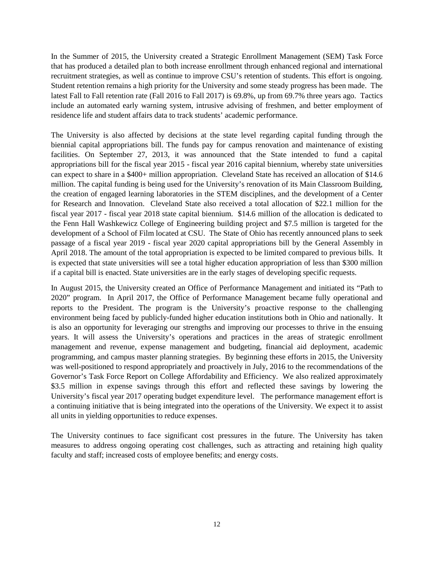In the Summer of 2015, the University created a Strategic Enrollment Management (SEM) Task Force that has produced a detailed plan to both increase enrollment through enhanced regional and international recruitment strategies, as well as continue to improve CSU's retention of students. This effort is ongoing. Student retention remains a high priority for the University and some steady progress has been made. The latest Fall to Fall retention rate (Fall 2016 to Fall 2017) is 69.8%, up from 69.7% three years ago. Tactics include an automated early warning system, intrusive advising of freshmen, and better employment of residence life and student affairs data to track students' academic performance.

The University is also affected by decisions at the state level regarding capital funding through the biennial capital appropriations bill. The funds pay for campus renovation and maintenance of existing facilities. On September 27, 2013, it was announced that the State intended to fund a capital appropriations bill for the fiscal year 2015 - fiscal year 2016 capital biennium, whereby state universities can expect to share in a \$400+ million appropriation. Cleveland State has received an allocation of \$14.6 million. The capital funding is being used for the University's renovation of its Main Classroom Building, the creation of engaged learning laboratories in the STEM disciplines, and the development of a Center for Research and Innovation. Cleveland State also received a total allocation of \$22.1 million for the fiscal year 2017 - fiscal year 2018 state capital biennium. \$14.6 million of the allocation is dedicated to the Fenn Hall Washkewicz College of Engineering building project and \$7.5 million is targeted for the development of a School of Film located at CSU. The State of Ohio has recently announced plans to seek passage of a fiscal year 2019 - fiscal year 2020 capital appropriations bill by the General Assembly in April 2018. The amount of the total appropriation is expected to be limited compared to previous bills. It is expected that state universities will see a total higher education appropriation of less than \$300 million if a capital bill is enacted. State universities are in the early stages of developing specific requests.

In August 2015, the University created an Office of Performance Management and initiated its "Path to 2020" program. In April 2017, the Office of Performance Management became fully operational and reports to the President. The program is the University's proactive response to the challenging environment being faced by publicly-funded higher education institutions both in Ohio and nationally. It is also an opportunity for leveraging our strengths and improving our processes to thrive in the ensuing years. It will assess the University's operations and practices in the areas of strategic enrollment management and revenue, expense management and budgeting, financial aid deployment, academic programming, and campus master planning strategies. By beginning these efforts in 2015, the University was well-positioned to respond appropriately and proactively in July, 2016 to the recommendations of the Governor's Task Force Report on College Affordability and Efficiency. We also realized approximately \$3.5 million in expense savings through this effort and reflected these savings by lowering the University's fiscal year 2017 operating budget expenditure level. The performance management effort is a continuing initiative that is being integrated into the operations of the University. We expect it to assist all units in yielding opportunities to reduce expenses.

The University continues to face significant cost pressures in the future. The University has taken measures to address ongoing operating cost challenges, such as attracting and retaining high quality faculty and staff; increased costs of employee benefits; and energy costs.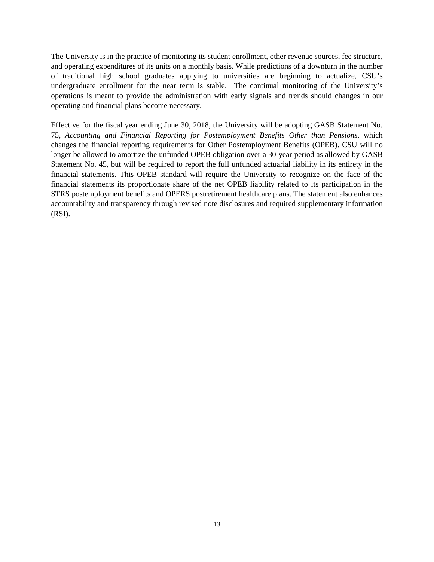The University is in the practice of monitoring its student enrollment, other revenue sources, fee structure, and operating expenditures of its units on a monthly basis. While predictions of a downturn in the number of traditional high school graduates applying to universities are beginning to actualize, CSU's undergraduate enrollment for the near term is stable. The continual monitoring of the University's operations is meant to provide the administration with early signals and trends should changes in our operating and financial plans become necessary.

Effective for the fiscal year ending June 30, 2018, the University will be adopting GASB Statement No. 75, *Accounting and Financial Reporting for Postemployment Benefits Other than Pensions*, which changes the financial reporting requirements for Other Postemployment Benefits (OPEB). CSU will no longer be allowed to amortize the unfunded OPEB obligation over a 30-year period as allowed by GASB Statement No. 45, but will be required to report the full unfunded actuarial liability in its entirety in the financial statements. This OPEB standard will require the University to recognize on the face of the financial statements its proportionate share of the net OPEB liability related to its participation in the STRS postemployment benefits and OPERS postretirement healthcare plans. The statement also enhances accountability and transparency through revised note disclosures and required supplementary information (RSI).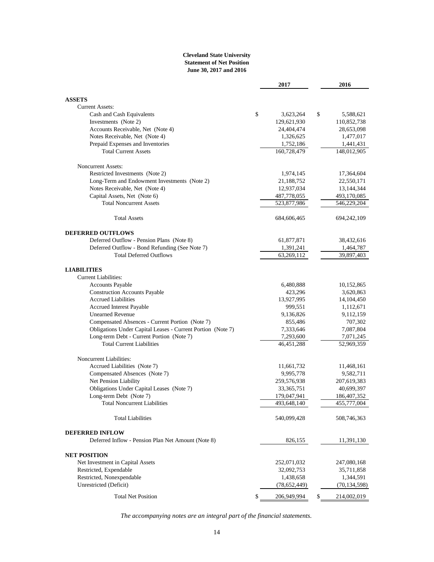#### **Cleveland State University Statement of Net Position June 30, 2017 and 2016**

|                                                                | 2017              | 2016              |
|----------------------------------------------------------------|-------------------|-------------------|
|                                                                |                   |                   |
| <b>ASSETS</b>                                                  |                   |                   |
| <b>Current Assets:</b>                                         |                   |                   |
| Cash and Cash Equivalents                                      | \$<br>3,623,264   | \$<br>5,588,621   |
| Investments (Note 2)                                           | 129,621,930       | 110,852,738       |
| Accounts Receivable, Net (Note 4)                              | 24,404,474        | 28,653,098        |
| Notes Receivable, Net (Note 4)                                 | 1,326,625         | 1,477,017         |
| Prepaid Expenses and Inventories                               | 1,752,186         | 1,441,431         |
| <b>Total Current Assets</b>                                    | 160,728,479       | 148,012,905       |
| <b>Noncurrent Assets:</b>                                      |                   |                   |
| Restricted Investments (Note 2)                                | 1,974,145         | 17,364,604        |
| Long-Term and Endowment Investments (Note 2)                   | 21,188,752        | 22,550,171        |
| Notes Receivable, Net (Note 4)                                 | 12,937,034        | 13,144,344        |
| Capital Assets, Net (Note 6)                                   | 487,778,055       | 493,170,085       |
| <b>Total Noncurrent Assets</b>                                 | 523,877,986       | 546,229,204       |
| <b>Total Assets</b>                                            | 684,606,465       | 694, 242, 109     |
| <b>DEFERRED OUTFLOWS</b>                                       |                   |                   |
| Deferred Outflow - Pension Plans (Note 8)                      | 61,877,871        | 38,432,616        |
| Deferred Outflow - Bond Refunding (See Note 7)                 | 1,391,241         | 1,464,787         |
| <b>Total Deferred Outflows</b>                                 | 63,269,112        | 39,897,403        |
| <b>LIABILITIES</b>                                             |                   |                   |
| Current Liabilities:                                           |                   |                   |
| Accounts Payable                                               | 6,480,888         | 10,152,865        |
| <b>Construction Accounts Payable</b>                           | 423,296           | 3,620,863         |
| <b>Accrued Liabilities</b>                                     | 13,927,995        | 14,104,450        |
| <b>Accrued Interest Payable</b>                                | 999,551           | 1,112,671         |
| <b>Unearned Revenue</b>                                        | 9,136,826         | 9,112,159         |
| Compensated Absences - Current Portion (Note 7)                | 855,486           | 707,302           |
| Obligations Under Capital Leases - Current Portion (Note 7)    | 7,333,646         | 7,087,804         |
| Long-term Debt - Current Portion (Note 7)                      | 7,293,600         | 7,071,245         |
| <b>Total Current Liabilities</b>                               | 46,451,288        | 52,969,359        |
|                                                                |                   |                   |
| <b>Noncurrent Liabilities:</b><br>Accrued Liabilities (Note 7) | 11,661,732        | 11,468,161        |
| Compensated Absences (Note 7)                                  | 9,995,778         | 9,582,711         |
| Net Pension Liability                                          | 259,576,938       | 207,619,383       |
| Obligations Under Capital Leases (Note 7)                      | 33, 365, 751      | 40,699,397        |
| Long-term Debt (Note 7)                                        | 179,047,941       | 186, 407, 352     |
| Total Noncurrent Liabilities                                   | 493,648,140       | 455,777,004       |
| <b>Total Liabilities</b>                                       | 540,099,428       | 508,746,363       |
| <b>DEFERRED INFLOW</b>                                         |                   |                   |
| Deferred Inflow - Pension Plan Net Amount (Note 8)             | 826,155           | 11,391,130        |
| <b>NET POSITION</b>                                            |                   |                   |
| Net Investment in Capital Assets                               | 252,071,032       | 247,080,168       |
| Restricted, Expendable                                         | 32,092,753        | 35,711,858        |
| Restricted, Nonexpendable                                      | 1,438,658         | 1,344,591         |
| Unrestricted (Deficit)                                         | (78, 652, 449)    | (70, 134, 598)    |
|                                                                |                   |                   |
| <b>Total Net Position</b>                                      | \$<br>206,949,994 | \$<br>214,002,019 |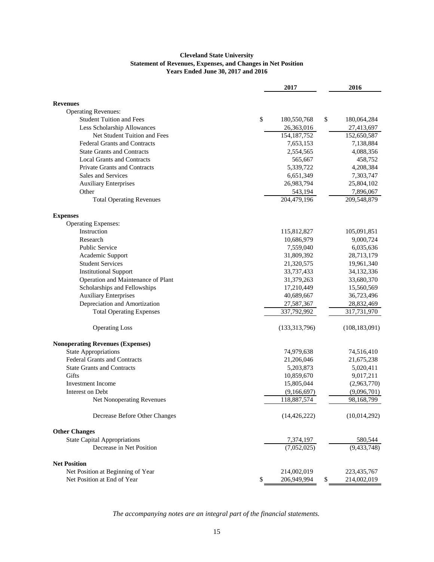#### **Cleveland State University Statement of Revenues, Expenses, and Changes in Net Position Years Ended June 30, 2017 and 2016**

|                                                               | 2017                       | 2016                     |
|---------------------------------------------------------------|----------------------------|--------------------------|
|                                                               |                            |                          |
| <b>Revenues</b>                                               |                            |                          |
| <b>Operating Revenues:</b><br><b>Student Tuition and Fees</b> | \$<br>180,550,768          | \$                       |
|                                                               |                            | 180,064,284              |
| Less Scholarship Allowances<br>Net Student Tuition and Fees   | 26,363,016                 | 27,413,697               |
| <b>Federal Grants and Contracts</b>                           | 154, 187, 752<br>7,653,153 | 152,650,587<br>7,138,884 |
| <b>State Grants and Contracts</b>                             | 2,554,565                  | 4,088,356                |
| <b>Local Grants and Contracts</b>                             | 565,667                    | 458,752                  |
| <b>Private Grants and Contracts</b>                           | 5,339,722                  | 4,208,384                |
| Sales and Services                                            | 6,651,349                  | 7,303,747                |
| <b>Auxiliary Enterprises</b>                                  | 26,983,794                 | 25,804,102               |
| Other                                                         | 543,194                    | 7,896,067                |
| <b>Total Operating Revenues</b>                               | 204,479,196                | 209,548,879              |
| <b>Expenses</b>                                               |                            |                          |
| <b>Operating Expenses:</b>                                    |                            |                          |
| Instruction                                                   | 115,812,827                | 105,091,851              |
| Research                                                      | 10,686,979                 | 9,000,724                |
| <b>Public Service</b>                                         | 7,559,040                  | 6,035,636                |
| Academic Support                                              | 31,809,392                 | 28,713,179               |
| <b>Student Services</b>                                       | 21,320,575                 | 19,961,340               |
| <b>Institutional Support</b>                                  | 33,737,433                 | 34,132,336               |
| Operation and Maintenance of Plant                            | 31,379,263                 | 33,680,370               |
| Scholarships and Fellowships                                  | 17,210,449                 | 15,560,569               |
| <b>Auxiliary Enterprises</b>                                  | 40,689,667                 | 36,723,496               |
| Depreciation and Amortization                                 | 27,587,367                 | 28,832,469               |
| <b>Total Operating Expenses</b>                               | 337,792,992                | 317,731,970              |
| <b>Operating Loss</b>                                         | (133,313,796)              | (108, 183, 091)          |
| <b>Nonoperating Revenues (Expenses)</b>                       |                            |                          |
| <b>State Appropriations</b>                                   | 74,979,638                 | 74,516,410               |
| <b>Federal Grants and Contracts</b>                           | 21,206,046                 | 21,675,238               |
| <b>State Grants and Contracts</b>                             | 5,203,873                  | 5,020,411                |
| Gifts                                                         | 10,859,670                 | 9,017,211                |
| <b>Investment Income</b>                                      | 15,805,044                 | (2,963,770)              |
| Interest on Debt                                              | (9,166,697)                | (9,096,701)              |
| Net Nonoperating Revenues                                     | 118,887,574                | 98,168,799               |
| Decrease Before Other Changes                                 | (14, 426, 222)             | (10,014,292)             |
| <b>Other Changes</b>                                          |                            |                          |
| <b>State Capital Appropriations</b>                           | 7,374,197                  | 580,544                  |
| Decrease in Net Position                                      | (7,052,025)                | (9, 433, 748)            |
| <b>Net Position</b>                                           |                            |                          |
| Net Position at Beginning of Year                             | 214,002,019                | 223,435,767              |
| Net Position at End of Year                                   | \$<br>206,949,994          | \$<br>214,002,019        |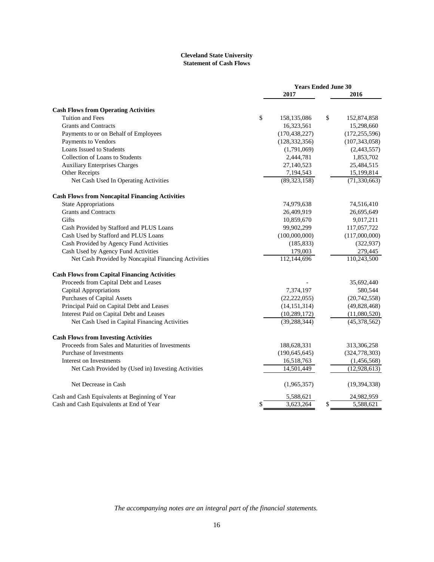#### **Cleveland State University Statement of Cash Flows**

|                                                        | <b>Years Ended June 30</b> |    |                 |  |  |
|--------------------------------------------------------|----------------------------|----|-----------------|--|--|
|                                                        | 2017                       |    | 2016            |  |  |
| <b>Cash Flows from Operating Activities</b>            |                            |    |                 |  |  |
| <b>Tuition and Fees</b>                                | \$<br>158,135,086          | \$ | 152,874,858     |  |  |
| <b>Grants and Contracts</b>                            | 16,323,561                 |    | 15,298,660      |  |  |
| Payments to or on Behalf of Employees                  | (170, 438, 227)            |    | (172, 255, 596) |  |  |
| Payments to Vendors                                    | (128, 332, 356)            |    | (107, 343, 058) |  |  |
| Loans Issued to Students                               | (1,791,069)                |    | (2,443,557)     |  |  |
| Collection of Loans to Students                        | 2,444,781                  |    | 1,853,702       |  |  |
| <b>Auxiliary Enterprises Charges</b>                   | 27,140,523                 |    | 25,484,515      |  |  |
| Other Receipts                                         | 7,194,543                  |    | 15,199,814      |  |  |
| Net Cash Used In Operating Activities                  | (89, 323, 158)             |    | (71, 330, 663)  |  |  |
| <b>Cash Flows from Noncapital Financing Activities</b> |                            |    |                 |  |  |
| <b>State Appropriations</b>                            | 74,979,638                 |    | 74,516,410      |  |  |
| <b>Grants and Contracts</b>                            | 26,409,919                 |    | 26,695,649      |  |  |
| Gifts                                                  | 10,859,670                 |    | 9,017,211       |  |  |
| Cash Provided by Stafford and PLUS Loans               | 99,902,299                 |    | 117,057,722     |  |  |
| Cash Used by Stafford and PLUS Loans                   | (100,000,000)              |    | (117,000,000)   |  |  |
| Cash Provided by Agency Fund Activities                | (185, 833)                 |    | (322, 937)      |  |  |
| Cash Used by Agency Fund Activities                    | 179,003                    |    | 279,445         |  |  |
| Net Cash Provided by Noncapital Financing Activities   | 112,144,696                |    | 110,243,500     |  |  |
| <b>Cash Flows from Capital Financing Activities</b>    |                            |    |                 |  |  |
| Proceeds from Capital Debt and Leases                  |                            |    | 35,692,440      |  |  |
| Capital Appropriations                                 | 7,374,197                  |    | 580,544         |  |  |
| <b>Purchases of Capital Assets</b>                     | (22, 222, 055)             |    | (20, 742, 558)  |  |  |
| Principal Paid on Capital Debt and Leases              | (14, 151, 314)             |    | (49, 828, 468)  |  |  |
| Interest Paid on Capital Debt and Leases               | (10, 289, 172)             |    | (11,080,520)    |  |  |
| Net Cash Used in Capital Financing Activities          | (39, 288, 344)             |    | (45,378,562)    |  |  |
| <b>Cash Flows from Investing Activities</b>            |                            |    |                 |  |  |
| Proceeds from Sales and Maturities of Investments      | 188,628,331                |    | 313,306,258     |  |  |
| Purchase of Investments                                | (190, 645, 645)            |    | (324, 778, 303) |  |  |
| Interest on Investments                                | 16,518,763                 |    | (1,456,568)     |  |  |
| Net Cash Provided by (Used in) Investing Activities    | 14,501,449                 |    | (12, 928, 613)  |  |  |
| Net Decrease in Cash                                   | (1,965,357)                |    | (19, 394, 338)  |  |  |
| Cash and Cash Equivalents at Beginning of Year         | 5,588,621                  |    | 24,982,959      |  |  |
| Cash and Cash Equivalents at End of Year               | \$<br>3,623,264            | \$ | 5,588,621       |  |  |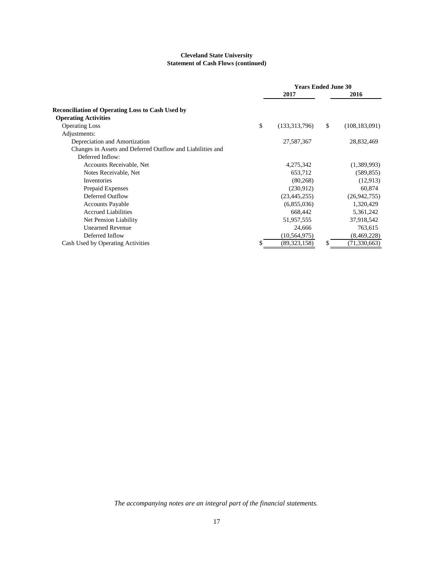#### **Cleveland State University Statement of Cash Flows (continued)**

|                                                            | <b>Years Ended June 30</b> |                |               |                 |  |
|------------------------------------------------------------|----------------------------|----------------|---------------|-----------------|--|
|                                                            |                            | 2017           |               | 2016            |  |
| <b>Reconciliation of Operating Loss to Cash Used by</b>    |                            |                |               |                 |  |
| <b>Operating Activities</b>                                |                            |                |               |                 |  |
| <b>Operating Loss</b>                                      | \$                         | (133,313,796)  | <sup>\$</sup> | (108, 183, 091) |  |
| Adjustments:                                               |                            |                |               |                 |  |
| Depreciation and Amortization                              |                            | 27,587,367     |               | 28,832,469      |  |
| Changes in Assets and Deferred Outflow and Liabilities and |                            |                |               |                 |  |
| Deferred Inflow:                                           |                            |                |               |                 |  |
| Accounts Receivable, Net                                   |                            | 4,275,342      |               | (1,389,993)     |  |
| Notes Receivable, Net                                      |                            | 653,712        |               | (589, 855)      |  |
| Inventories                                                |                            | (80, 268)      |               | (12,913)        |  |
| Prepaid Expenses                                           |                            | (230,912)      |               | 60,874          |  |
| Deferred Outflow                                           |                            | (23, 445, 255) |               | (26,942,755)    |  |
| <b>Accounts Payable</b>                                    |                            | (6,855,036)    |               | 1,320,429       |  |
| <b>Accrued Liabilities</b>                                 |                            | 668,442        |               | 5,361,242       |  |
| Net Pension Liability                                      |                            | 51,957,555     |               | 37,918,542      |  |
| <b>Unearned Revenue</b>                                    |                            | 24,666         |               | 763,615         |  |
| Deferred Inflow                                            |                            | (10, 564, 975) |               | (8,469,228)     |  |
| Cash Used by Operating Activities                          |                            | (89, 323, 158) | S             | (71, 330, 663)  |  |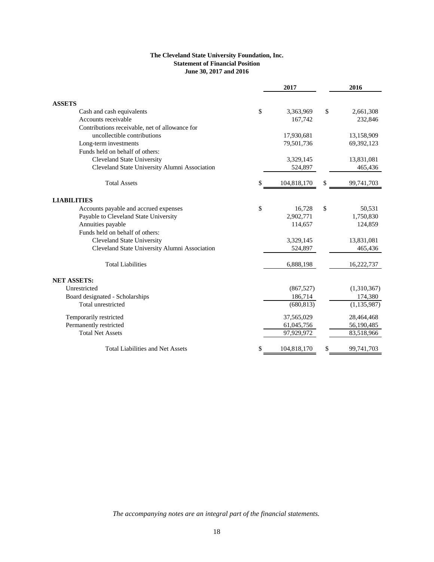## **The Cleveland State University Foundation, Inc. Statement of Financial Position June 30, 2017 and 2016**

|                                                | 2017              | 2016             |
|------------------------------------------------|-------------------|------------------|
| <b>ASSETS</b>                                  |                   |                  |
| Cash and cash equivalents                      | \$<br>3,363,969   | \$<br>2,661,308  |
| Accounts receivable                            | 167,742           | 232,846          |
| Contributions receivable, net of allowance for |                   |                  |
| uncollectible contributions                    | 17,930,681        | 13,158,909       |
| Long-term investments                          | 79,501,736        | 69,392,123       |
| Funds held on behalf of others:                |                   |                  |
| <b>Cleveland State University</b>              | 3,329,145         | 13,831,081       |
| Cleveland State University Alumni Association  | 524,897           | 465,436          |
| <b>Total Assets</b>                            | \$<br>104,818,170 | \$<br>99,741,703 |
| <b>LIABILITIES</b>                             |                   |                  |
| Accounts payable and accrued expenses          | \$<br>16,728      | \$<br>50,531     |
| Payable to Cleveland State University          | 2,902,771         | 1,750,830        |
| Annuities payable                              | 114,657           | 124,859          |
| Funds held on behalf of others:                |                   |                  |
| <b>Cleveland State University</b>              | 3,329,145         | 13,831,081       |
| Cleveland State University Alumni Association  | 524,897           | 465,436          |
| <b>Total Liabilities</b>                       | 6,888,198         | 16,222,737       |
| <b>NET ASSETS:</b>                             |                   |                  |
| Unrestricted                                   | (867, 527)        | (1,310,367)      |
| Board designated - Scholarships                | 186,714           | 174,380          |
| Total unrestricted                             | (680, 813)        | (1, 135, 987)    |
| Temporarily restricted                         | 37,565,029        | 28,464,468       |
| Permanently restricted                         | 61,045,756        | 56,190,485       |
| <b>Total Net Assets</b>                        | 97,929,972        | 83,518,966       |
| <b>Total Liabilities and Net Assets</b>        | 104,818,170       | 99,741,703       |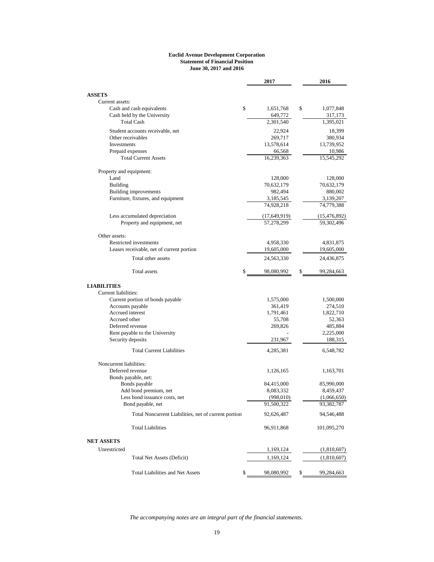#### **Euclid Avenue Development Corporation Statement of Financial Position June 30, 2017 and 2016**

| <b>ASSETS</b><br>Current assets:<br>\$<br>\$<br>Cash and cash equivalents<br>1,651,768<br>1,077,848<br>Cash held by the University<br>649,772<br>317,173<br><b>Total Cash</b><br>2,301,540<br>1,395,021<br>Student accounts receivable, net<br>22,924<br>18,399<br>Other receivables<br>269,717<br>380,934<br>Investments<br>13,578,614<br>13,739,952<br>Prepaid expenses<br>66,568<br>10,986<br><b>Total Current Assets</b><br>16,239,363<br>15,545,292<br>Property and equipment:<br>Land<br>128,000<br>128,000<br><b>Building</b><br>70,632,179<br>70,632,179<br><b>Building improvements</b><br>982,494<br>880,002<br>Furniture, fixtures, and equipment<br>3,185,545<br>3,139,207<br>74,928,218<br>74,779,388<br>Less accumulated depreciation<br>(17, 649, 919)<br>(15, 476, 892)<br>Property and equipment, net<br>57,278,299<br>59,302,496<br>Other assets:<br>Restricted investments<br>4,958,330<br>4,831,875<br>Leases receivable, net of current portion<br>19,605,000<br>19,605,000<br>Total other assets<br>24,563,330<br>24,436,875<br>Total assets<br>\$<br>98,080,992<br>\$<br>99,284,663<br><b>LIABILITIES</b><br>Current liabilities:<br>Current portion of bonds payable<br>1,575,000<br>1,500,000<br>Accounts payable<br>361,419<br>274,510<br>Accrued interest<br>1,791,461<br>1,822,710<br>Accrued other<br>55,708<br>52,363<br>Deferred revenue<br>269,826<br>485,884<br>Rent payable to the University<br>2,225,000<br>Security deposits<br>231,967<br>188,315<br><b>Total Current Liabilities</b><br>4,285,381<br>6,548,782<br>Noncurrent liabilities:<br>Deferred revenue<br>1,126,165<br>1,163,701<br>Bonds payable, net:<br>Bonds payable<br>84,415,000<br>85,990,000<br>Add bond premium, net<br>8,083,332<br>8,459,437<br>Less bond issuance costs, net<br>(998,010)<br>(1,066,650)<br>91,500,322<br>93,382,787<br>Bond payable, net<br>Total Noncurrent Liabilities, net of current portion<br>92,626,487<br>94,546,488<br><b>Total Liabilities</b><br>96,911,868<br>101,095,270 |                   | 2017 | 2016 |
|------------------------------------------------------------------------------------------------------------------------------------------------------------------------------------------------------------------------------------------------------------------------------------------------------------------------------------------------------------------------------------------------------------------------------------------------------------------------------------------------------------------------------------------------------------------------------------------------------------------------------------------------------------------------------------------------------------------------------------------------------------------------------------------------------------------------------------------------------------------------------------------------------------------------------------------------------------------------------------------------------------------------------------------------------------------------------------------------------------------------------------------------------------------------------------------------------------------------------------------------------------------------------------------------------------------------------------------------------------------------------------------------------------------------------------------------------------------------------------------------------------------------------------------------------------------------------------------------------------------------------------------------------------------------------------------------------------------------------------------------------------------------------------------------------------------------------------------------------------------------------------------------------------------------------------------------------------------------------------------------------------------|-------------------|------|------|
|                                                                                                                                                                                                                                                                                                                                                                                                                                                                                                                                                                                                                                                                                                                                                                                                                                                                                                                                                                                                                                                                                                                                                                                                                                                                                                                                                                                                                                                                                                                                                                                                                                                                                                                                                                                                                                                                                                                                                                                                                  |                   |      |      |
|                                                                                                                                                                                                                                                                                                                                                                                                                                                                                                                                                                                                                                                                                                                                                                                                                                                                                                                                                                                                                                                                                                                                                                                                                                                                                                                                                                                                                                                                                                                                                                                                                                                                                                                                                                                                                                                                                                                                                                                                                  |                   |      |      |
|                                                                                                                                                                                                                                                                                                                                                                                                                                                                                                                                                                                                                                                                                                                                                                                                                                                                                                                                                                                                                                                                                                                                                                                                                                                                                                                                                                                                                                                                                                                                                                                                                                                                                                                                                                                                                                                                                                                                                                                                                  |                   |      |      |
|                                                                                                                                                                                                                                                                                                                                                                                                                                                                                                                                                                                                                                                                                                                                                                                                                                                                                                                                                                                                                                                                                                                                                                                                                                                                                                                                                                                                                                                                                                                                                                                                                                                                                                                                                                                                                                                                                                                                                                                                                  |                   |      |      |
|                                                                                                                                                                                                                                                                                                                                                                                                                                                                                                                                                                                                                                                                                                                                                                                                                                                                                                                                                                                                                                                                                                                                                                                                                                                                                                                                                                                                                                                                                                                                                                                                                                                                                                                                                                                                                                                                                                                                                                                                                  |                   |      |      |
|                                                                                                                                                                                                                                                                                                                                                                                                                                                                                                                                                                                                                                                                                                                                                                                                                                                                                                                                                                                                                                                                                                                                                                                                                                                                                                                                                                                                                                                                                                                                                                                                                                                                                                                                                                                                                                                                                                                                                                                                                  |                   |      |      |
|                                                                                                                                                                                                                                                                                                                                                                                                                                                                                                                                                                                                                                                                                                                                                                                                                                                                                                                                                                                                                                                                                                                                                                                                                                                                                                                                                                                                                                                                                                                                                                                                                                                                                                                                                                                                                                                                                                                                                                                                                  |                   |      |      |
|                                                                                                                                                                                                                                                                                                                                                                                                                                                                                                                                                                                                                                                                                                                                                                                                                                                                                                                                                                                                                                                                                                                                                                                                                                                                                                                                                                                                                                                                                                                                                                                                                                                                                                                                                                                                                                                                                                                                                                                                                  |                   |      |      |
|                                                                                                                                                                                                                                                                                                                                                                                                                                                                                                                                                                                                                                                                                                                                                                                                                                                                                                                                                                                                                                                                                                                                                                                                                                                                                                                                                                                                                                                                                                                                                                                                                                                                                                                                                                                                                                                                                                                                                                                                                  |                   |      |      |
|                                                                                                                                                                                                                                                                                                                                                                                                                                                                                                                                                                                                                                                                                                                                                                                                                                                                                                                                                                                                                                                                                                                                                                                                                                                                                                                                                                                                                                                                                                                                                                                                                                                                                                                                                                                                                                                                                                                                                                                                                  |                   |      |      |
|                                                                                                                                                                                                                                                                                                                                                                                                                                                                                                                                                                                                                                                                                                                                                                                                                                                                                                                                                                                                                                                                                                                                                                                                                                                                                                                                                                                                                                                                                                                                                                                                                                                                                                                                                                                                                                                                                                                                                                                                                  |                   |      |      |
|                                                                                                                                                                                                                                                                                                                                                                                                                                                                                                                                                                                                                                                                                                                                                                                                                                                                                                                                                                                                                                                                                                                                                                                                                                                                                                                                                                                                                                                                                                                                                                                                                                                                                                                                                                                                                                                                                                                                                                                                                  |                   |      |      |
|                                                                                                                                                                                                                                                                                                                                                                                                                                                                                                                                                                                                                                                                                                                                                                                                                                                                                                                                                                                                                                                                                                                                                                                                                                                                                                                                                                                                                                                                                                                                                                                                                                                                                                                                                                                                                                                                                                                                                                                                                  |                   |      |      |
|                                                                                                                                                                                                                                                                                                                                                                                                                                                                                                                                                                                                                                                                                                                                                                                                                                                                                                                                                                                                                                                                                                                                                                                                                                                                                                                                                                                                                                                                                                                                                                                                                                                                                                                                                                                                                                                                                                                                                                                                                  |                   |      |      |
|                                                                                                                                                                                                                                                                                                                                                                                                                                                                                                                                                                                                                                                                                                                                                                                                                                                                                                                                                                                                                                                                                                                                                                                                                                                                                                                                                                                                                                                                                                                                                                                                                                                                                                                                                                                                                                                                                                                                                                                                                  |                   |      |      |
|                                                                                                                                                                                                                                                                                                                                                                                                                                                                                                                                                                                                                                                                                                                                                                                                                                                                                                                                                                                                                                                                                                                                                                                                                                                                                                                                                                                                                                                                                                                                                                                                                                                                                                                                                                                                                                                                                                                                                                                                                  |                   |      |      |
|                                                                                                                                                                                                                                                                                                                                                                                                                                                                                                                                                                                                                                                                                                                                                                                                                                                                                                                                                                                                                                                                                                                                                                                                                                                                                                                                                                                                                                                                                                                                                                                                                                                                                                                                                                                                                                                                                                                                                                                                                  |                   |      |      |
|                                                                                                                                                                                                                                                                                                                                                                                                                                                                                                                                                                                                                                                                                                                                                                                                                                                                                                                                                                                                                                                                                                                                                                                                                                                                                                                                                                                                                                                                                                                                                                                                                                                                                                                                                                                                                                                                                                                                                                                                                  |                   |      |      |
|                                                                                                                                                                                                                                                                                                                                                                                                                                                                                                                                                                                                                                                                                                                                                                                                                                                                                                                                                                                                                                                                                                                                                                                                                                                                                                                                                                                                                                                                                                                                                                                                                                                                                                                                                                                                                                                                                                                                                                                                                  |                   |      |      |
|                                                                                                                                                                                                                                                                                                                                                                                                                                                                                                                                                                                                                                                                                                                                                                                                                                                                                                                                                                                                                                                                                                                                                                                                                                                                                                                                                                                                                                                                                                                                                                                                                                                                                                                                                                                                                                                                                                                                                                                                                  |                   |      |      |
|                                                                                                                                                                                                                                                                                                                                                                                                                                                                                                                                                                                                                                                                                                                                                                                                                                                                                                                                                                                                                                                                                                                                                                                                                                                                                                                                                                                                                                                                                                                                                                                                                                                                                                                                                                                                                                                                                                                                                                                                                  |                   |      |      |
|                                                                                                                                                                                                                                                                                                                                                                                                                                                                                                                                                                                                                                                                                                                                                                                                                                                                                                                                                                                                                                                                                                                                                                                                                                                                                                                                                                                                                                                                                                                                                                                                                                                                                                                                                                                                                                                                                                                                                                                                                  |                   |      |      |
|                                                                                                                                                                                                                                                                                                                                                                                                                                                                                                                                                                                                                                                                                                                                                                                                                                                                                                                                                                                                                                                                                                                                                                                                                                                                                                                                                                                                                                                                                                                                                                                                                                                                                                                                                                                                                                                                                                                                                                                                                  |                   |      |      |
|                                                                                                                                                                                                                                                                                                                                                                                                                                                                                                                                                                                                                                                                                                                                                                                                                                                                                                                                                                                                                                                                                                                                                                                                                                                                                                                                                                                                                                                                                                                                                                                                                                                                                                                                                                                                                                                                                                                                                                                                                  |                   |      |      |
|                                                                                                                                                                                                                                                                                                                                                                                                                                                                                                                                                                                                                                                                                                                                                                                                                                                                                                                                                                                                                                                                                                                                                                                                                                                                                                                                                                                                                                                                                                                                                                                                                                                                                                                                                                                                                                                                                                                                                                                                                  |                   |      |      |
|                                                                                                                                                                                                                                                                                                                                                                                                                                                                                                                                                                                                                                                                                                                                                                                                                                                                                                                                                                                                                                                                                                                                                                                                                                                                                                                                                                                                                                                                                                                                                                                                                                                                                                                                                                                                                                                                                                                                                                                                                  |                   |      |      |
|                                                                                                                                                                                                                                                                                                                                                                                                                                                                                                                                                                                                                                                                                                                                                                                                                                                                                                                                                                                                                                                                                                                                                                                                                                                                                                                                                                                                                                                                                                                                                                                                                                                                                                                                                                                                                                                                                                                                                                                                                  |                   |      |      |
|                                                                                                                                                                                                                                                                                                                                                                                                                                                                                                                                                                                                                                                                                                                                                                                                                                                                                                                                                                                                                                                                                                                                                                                                                                                                                                                                                                                                                                                                                                                                                                                                                                                                                                                                                                                                                                                                                                                                                                                                                  |                   |      |      |
|                                                                                                                                                                                                                                                                                                                                                                                                                                                                                                                                                                                                                                                                                                                                                                                                                                                                                                                                                                                                                                                                                                                                                                                                                                                                                                                                                                                                                                                                                                                                                                                                                                                                                                                                                                                                                                                                                                                                                                                                                  |                   |      |      |
|                                                                                                                                                                                                                                                                                                                                                                                                                                                                                                                                                                                                                                                                                                                                                                                                                                                                                                                                                                                                                                                                                                                                                                                                                                                                                                                                                                                                                                                                                                                                                                                                                                                                                                                                                                                                                                                                                                                                                                                                                  |                   |      |      |
|                                                                                                                                                                                                                                                                                                                                                                                                                                                                                                                                                                                                                                                                                                                                                                                                                                                                                                                                                                                                                                                                                                                                                                                                                                                                                                                                                                                                                                                                                                                                                                                                                                                                                                                                                                                                                                                                                                                                                                                                                  |                   |      |      |
|                                                                                                                                                                                                                                                                                                                                                                                                                                                                                                                                                                                                                                                                                                                                                                                                                                                                                                                                                                                                                                                                                                                                                                                                                                                                                                                                                                                                                                                                                                                                                                                                                                                                                                                                                                                                                                                                                                                                                                                                                  |                   |      |      |
|                                                                                                                                                                                                                                                                                                                                                                                                                                                                                                                                                                                                                                                                                                                                                                                                                                                                                                                                                                                                                                                                                                                                                                                                                                                                                                                                                                                                                                                                                                                                                                                                                                                                                                                                                                                                                                                                                                                                                                                                                  |                   |      |      |
|                                                                                                                                                                                                                                                                                                                                                                                                                                                                                                                                                                                                                                                                                                                                                                                                                                                                                                                                                                                                                                                                                                                                                                                                                                                                                                                                                                                                                                                                                                                                                                                                                                                                                                                                                                                                                                                                                                                                                                                                                  |                   |      |      |
|                                                                                                                                                                                                                                                                                                                                                                                                                                                                                                                                                                                                                                                                                                                                                                                                                                                                                                                                                                                                                                                                                                                                                                                                                                                                                                                                                                                                                                                                                                                                                                                                                                                                                                                                                                                                                                                                                                                                                                                                                  |                   |      |      |
|                                                                                                                                                                                                                                                                                                                                                                                                                                                                                                                                                                                                                                                                                                                                                                                                                                                                                                                                                                                                                                                                                                                                                                                                                                                                                                                                                                                                                                                                                                                                                                                                                                                                                                                                                                                                                                                                                                                                                                                                                  |                   |      |      |
|                                                                                                                                                                                                                                                                                                                                                                                                                                                                                                                                                                                                                                                                                                                                                                                                                                                                                                                                                                                                                                                                                                                                                                                                                                                                                                                                                                                                                                                                                                                                                                                                                                                                                                                                                                                                                                                                                                                                                                                                                  |                   |      |      |
|                                                                                                                                                                                                                                                                                                                                                                                                                                                                                                                                                                                                                                                                                                                                                                                                                                                                                                                                                                                                                                                                                                                                                                                                                                                                                                                                                                                                                                                                                                                                                                                                                                                                                                                                                                                                                                                                                                                                                                                                                  |                   |      |      |
|                                                                                                                                                                                                                                                                                                                                                                                                                                                                                                                                                                                                                                                                                                                                                                                                                                                                                                                                                                                                                                                                                                                                                                                                                                                                                                                                                                                                                                                                                                                                                                                                                                                                                                                                                                                                                                                                                                                                                                                                                  |                   |      |      |
|                                                                                                                                                                                                                                                                                                                                                                                                                                                                                                                                                                                                                                                                                                                                                                                                                                                                                                                                                                                                                                                                                                                                                                                                                                                                                                                                                                                                                                                                                                                                                                                                                                                                                                                                                                                                                                                                                                                                                                                                                  |                   |      |      |
|                                                                                                                                                                                                                                                                                                                                                                                                                                                                                                                                                                                                                                                                                                                                                                                                                                                                                                                                                                                                                                                                                                                                                                                                                                                                                                                                                                                                                                                                                                                                                                                                                                                                                                                                                                                                                                                                                                                                                                                                                  |                   |      |      |
|                                                                                                                                                                                                                                                                                                                                                                                                                                                                                                                                                                                                                                                                                                                                                                                                                                                                                                                                                                                                                                                                                                                                                                                                                                                                                                                                                                                                                                                                                                                                                                                                                                                                                                                                                                                                                                                                                                                                                                                                                  |                   |      |      |
|                                                                                                                                                                                                                                                                                                                                                                                                                                                                                                                                                                                                                                                                                                                                                                                                                                                                                                                                                                                                                                                                                                                                                                                                                                                                                                                                                                                                                                                                                                                                                                                                                                                                                                                                                                                                                                                                                                                                                                                                                  | <b>NET ASSETS</b> |      |      |
| Unrestricted<br>1,169,124<br>(1,810,607)                                                                                                                                                                                                                                                                                                                                                                                                                                                                                                                                                                                                                                                                                                                                                                                                                                                                                                                                                                                                                                                                                                                                                                                                                                                                                                                                                                                                                                                                                                                                                                                                                                                                                                                                                                                                                                                                                                                                                                         |                   |      |      |
| <b>Total Net Assets (Deficit)</b><br>1,169,124<br>(1,810,607)                                                                                                                                                                                                                                                                                                                                                                                                                                                                                                                                                                                                                                                                                                                                                                                                                                                                                                                                                                                                                                                                                                                                                                                                                                                                                                                                                                                                                                                                                                                                                                                                                                                                                                                                                                                                                                                                                                                                                    |                   |      |      |
| <b>Total Liabilities and Net Assets</b><br>99,284,663<br>\$<br>98,080,992<br>\$                                                                                                                                                                                                                                                                                                                                                                                                                                                                                                                                                                                                                                                                                                                                                                                                                                                                                                                                                                                                                                                                                                                                                                                                                                                                                                                                                                                                                                                                                                                                                                                                                                                                                                                                                                                                                                                                                                                                  |                   |      |      |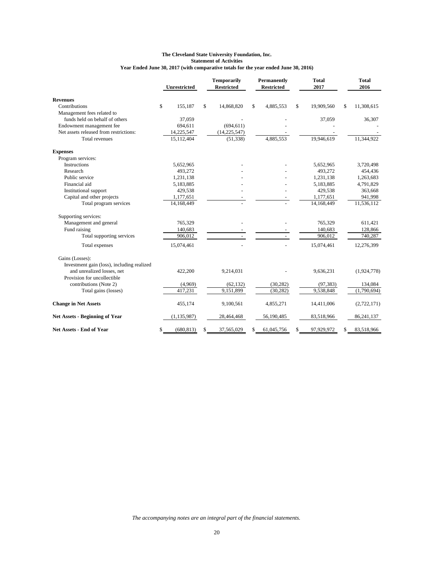#### **The Cleveland State University Foundation, Inc. Statement of Activities Year Ended June 30, 2017 (with comparative totals for the year ended June 30, 2016)**

|                                            |              | <b>Unrestricted</b> | <b>Temporarily</b><br><b>Restricted</b> | Permanently<br><b>Restricted</b> | Total<br>2017    | <b>Total</b><br>2016 |
|--------------------------------------------|--------------|---------------------|-----------------------------------------|----------------------------------|------------------|----------------------|
| <b>Revenues</b>                            |              |                     |                                         |                                  |                  |                      |
| Contributions                              | $\mathbb{S}$ | 155,187             | \$<br>14,868,820                        | \$<br>4,885,553                  | \$<br>19,909,560 | \$<br>11,308,615     |
| Management fees related to                 |              |                     |                                         |                                  |                  |                      |
| funds held on behalf of others             |              | 37,059              |                                         |                                  | 37,059           | 36,307               |
| Endowment management fee                   |              | 694,611             | (694, 611)                              |                                  |                  |                      |
| Net assets released from restrictions:     |              | 14,225,547          | (14, 225, 547)                          |                                  |                  |                      |
| Total revenues                             |              | 15,112,404          | (51, 338)                               | 4,885,553                        | 19,946,619       | 11,344,922           |
| <b>Expenses</b>                            |              |                     |                                         |                                  |                  |                      |
| Program services:                          |              |                     |                                         |                                  |                  |                      |
| Instructions                               |              | 5,652,965           |                                         |                                  | 5,652,965        | 3,720,498            |
| Research                                   |              | 493,272             |                                         |                                  | 493,272          | 454,436              |
| Public service                             |              | 1,231,138           |                                         |                                  | 1,231,138        | 1,263,683            |
| Financial aid                              |              | 5,183,885           |                                         |                                  | 5,183,885        | 4,791,829            |
| <b>Institutional support</b>               |              | 429,538             |                                         |                                  | 429,538          | 363,668              |
| Capital and other projects                 |              | 1,177,651           |                                         |                                  | 1,177,651        | 941,998              |
| Total program services                     |              | 14,168,449          |                                         |                                  | 14,168,449       | 11,536,112           |
| Supporting services:                       |              |                     |                                         |                                  |                  |                      |
| Management and general                     |              | 765,329             |                                         |                                  | 765,329          | 611,421              |
| Fund raising                               |              | 140,683             |                                         |                                  | 140,683          | 128,866              |
| Total supporting services                  |              | 906,012             |                                         |                                  | 906,012          | 740,287              |
| Total expenses                             |              | 15,074,461          |                                         |                                  | 15,074,461       | 12,276,399           |
| Gains (Losses):                            |              |                     |                                         |                                  |                  |                      |
| Investment gain (loss), including realized |              |                     |                                         |                                  |                  |                      |
| and unrealized losses, net                 |              | 422,200             | 9,214,031                               |                                  | 9,636,231        | (1,924,778)          |
| Provision for uncollectible                |              |                     |                                         |                                  |                  |                      |
| contributions (Note 2)                     |              | (4,969)             | (62, 132)                               | (30, 282)                        | (97, 383)        | 134,084              |
| Total gains (losses)                       |              | 417,231             | 9,151,899                               | (30, 282)                        | 9,538,848        | (1,790,694)          |
| <b>Change in Net Assets</b>                |              | 455,174             | 9,100,561                               | 4,855,271                        | 14,411,006       | (2,722,171)          |
| <b>Net Assets - Beginning of Year</b>      |              | (1, 135, 987)       | 28,464,468                              | 56,190,485                       | 83,518,966       | 86,241,137           |
| Net Assets - End of Year                   | \$           | (680, 813)          | \$<br>37,565,029                        | \$<br>61,045,756                 | \$<br>97,929,972 | \$<br>83,518,966     |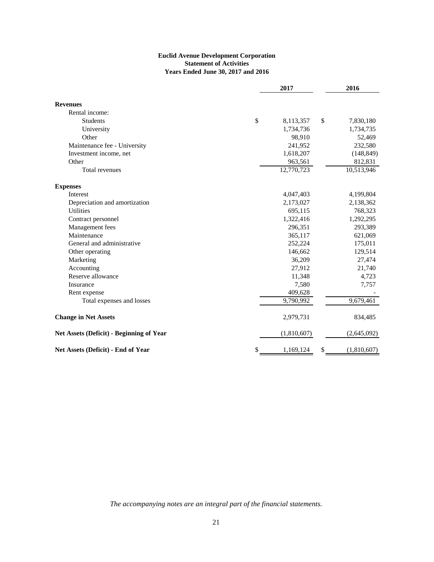#### **Euclid Avenue Development Corporation Statement of Activities Years Ended June 30, 2017 and 2016**

|                                                 | 2017            | 2016 |             |  |  |
|-------------------------------------------------|-----------------|------|-------------|--|--|
| <b>Revenues</b>                                 |                 |      |             |  |  |
| Rental income:                                  |                 |      |             |  |  |
| <b>Students</b>                                 | \$<br>8,113,357 | \$   | 7,830,180   |  |  |
| University                                      | 1,734,736       |      | 1,734,735   |  |  |
| Other                                           | 98,910          |      | 52,469      |  |  |
| Maintenance fee - University                    | 241,952         |      | 232,580     |  |  |
| Investment income, net                          | 1,618,207       |      | (148, 849)  |  |  |
| Other                                           | 963,561         |      | 812,831     |  |  |
| Total revenues                                  | 12,770,723      |      | 10,513,946  |  |  |
| <b>Expenses</b>                                 |                 |      |             |  |  |
| Interest                                        | 4,047,403       |      | 4,199,804   |  |  |
| Depreciation and amortization                   | 2,173,027       |      | 2,138,362   |  |  |
| <b>Utilities</b>                                | 695,115         |      | 768,323     |  |  |
| Contract personnel                              | 1,322,416       |      | 1,292,295   |  |  |
| Management fees                                 | 296,351         |      | 293,389     |  |  |
| Maintenance                                     | 365,117         |      | 621,069     |  |  |
| General and administrative                      | 252,224         |      | 175,011     |  |  |
| Other operating                                 | 146,662         |      | 129,514     |  |  |
| Marketing                                       | 36,209          |      | 27,474      |  |  |
| Accounting                                      | 27,912          |      | 21,740      |  |  |
| Reserve allowance                               | 11,348          |      | 4,723       |  |  |
| Insurance                                       | 7,580           |      | 7,757       |  |  |
| Rent expense                                    | 409,628         |      |             |  |  |
| Total expenses and losses                       | 9,790,992       |      | 9,679,461   |  |  |
| <b>Change in Net Assets</b>                     | 2,979,731       |      | 834,485     |  |  |
| <b>Net Assets (Deficit) - Beginning of Year</b> | (1,810,607)     |      | (2,645,092) |  |  |
| Net Assets (Deficit) - End of Year              | \$<br>1,169,124 | \$   | (1,810,607) |  |  |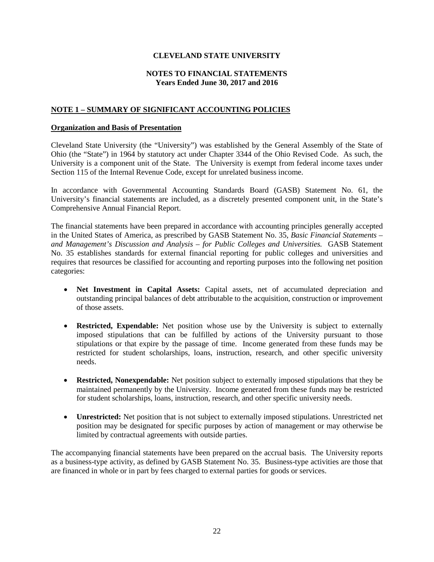# **CLEVELAND STATE UNIVERSITY**

#### **NOTES TO FINANCIAL STATEMENTS Years Ended June 30, 2017 and 2016**

# **NOTE 1 – SUMMARY OF SIGNIFICANT ACCOUNTING POLICIES**

#### **Organization and Basis of Presentation**

Cleveland State University (the "University") was established by the General Assembly of the State of Ohio (the "State") in 1964 by statutory act under Chapter 3344 of the Ohio Revised Code. As such, the University is a component unit of the State. The University is exempt from federal income taxes under Section 115 of the Internal Revenue Code, except for unrelated business income.

In accordance with Governmental Accounting Standards Board (GASB) Statement No. 61, the University's financial statements are included, as a discretely presented component unit, in the State's Comprehensive Annual Financial Report.

The financial statements have been prepared in accordance with accounting principles generally accepted in the United States of America, as prescribed by GASB Statement No. 35, *Basic Financial Statements – and Management's Discussion and Analysis – for Public Colleges and Universities.* GASB Statement No. 35 establishes standards for external financial reporting for public colleges and universities and requires that resources be classified for accounting and reporting purposes into the following net position categories:

- **Net Investment in Capital Assets:** Capital assets, net of accumulated depreciation and outstanding principal balances of debt attributable to the acquisition, construction or improvement of those assets.
- **Restricted, Expendable:** Net position whose use by the University is subject to externally imposed stipulations that can be fulfilled by actions of the University pursuant to those stipulations or that expire by the passage of time. Income generated from these funds may be restricted for student scholarships, loans, instruction, research, and other specific university needs.
- **Restricted, Nonexpendable:** Net position subject to externally imposed stipulations that they be maintained permanently by the University. Income generated from these funds may be restricted for student scholarships, loans, instruction, research, and other specific university needs.
- **Unrestricted:** Net position that is not subject to externally imposed stipulations. Unrestricted net position may be designated for specific purposes by action of management or may otherwise be limited by contractual agreements with outside parties.

The accompanying financial statements have been prepared on the accrual basis. The University reports as a business-type activity, as defined by GASB Statement No. 35. Business-type activities are those that are financed in whole or in part by fees charged to external parties for goods or services.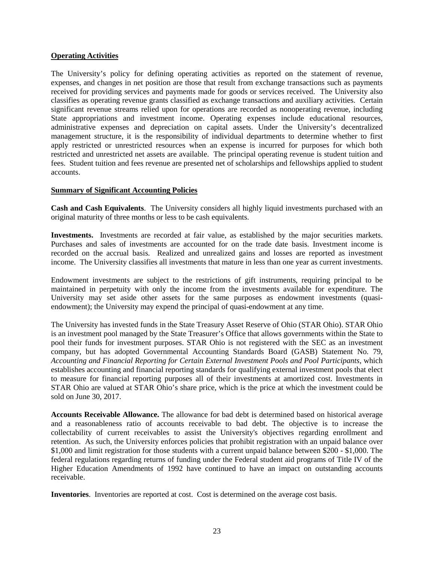#### **Operating Activities**

The University's policy for defining operating activities as reported on the statement of revenue, expenses, and changes in net position are those that result from exchange transactions such as payments received for providing services and payments made for goods or services received. The University also classifies as operating revenue grants classified as exchange transactions and auxiliary activities. Certain significant revenue streams relied upon for operations are recorded as nonoperating revenue, including State appropriations and investment income. Operating expenses include educational resources, administrative expenses and depreciation on capital assets. Under the University's decentralized management structure, it is the responsibility of individual departments to determine whether to first apply restricted or unrestricted resources when an expense is incurred for purposes for which both restricted and unrestricted net assets are available. The principal operating revenue is student tuition and fees. Student tuition and fees revenue are presented net of scholarships and fellowships applied to student accounts.

## **Summary of Significant Accounting Policies**

**Cash and Cash Equivalents**. The University considers all highly liquid investments purchased with an original maturity of three months or less to be cash equivalents.

**Investments.** Investments are recorded at fair value, as established by the major securities markets. Purchases and sales of investments are accounted for on the trade date basis. Investment income is recorded on the accrual basis. Realized and unrealized gains and losses are reported as investment income. The University classifies all investments that mature in less than one year as current investments.

Endowment investments are subject to the restrictions of gift instruments, requiring principal to be maintained in perpetuity with only the income from the investments available for expenditure. The University may set aside other assets for the same purposes as endowment investments (quasiendowment); the University may expend the principal of quasi-endowment at any time.

The University has invested funds in the State Treasury Asset Reserve of Ohio (STAR Ohio). STAR Ohio is an investment pool managed by the State Treasurer's Office that allows governments within the State to pool their funds for investment purposes. STAR Ohio is not registered with the SEC as an investment company, but has adopted Governmental Accounting Standards Board (GASB) Statement No. 79, *Accounting and Financial Reporting for Certain External Investment Pools and Pool Participants*, which establishes accounting and financial reporting standards for qualifying external investment pools that elect to measure for financial reporting purposes all of their investments at amortized cost. Investments in STAR Ohio are valued at STAR Ohio's share price, which is the price at which the investment could be sold on June 30, 2017.

**Accounts Receivable Allowance.** The allowance for bad debt is determined based on historical average and a reasonableness ratio of accounts receivable to bad debt. The objective is to increase the collectability of current receivables to assist the University's objectives regarding enrollment and retention. As such, the University enforces policies that prohibit registration with an unpaid balance over \$1,000 and limit registration for those students with a current unpaid balance between \$200 - \$1,000. The federal regulations regarding returns of funding under the Federal student aid programs of Title IV of the Higher Education Amendments of 1992 have continued to have an impact on outstanding accounts receivable.

**Inventories**. Inventories are reported at cost. Cost is determined on the average cost basis.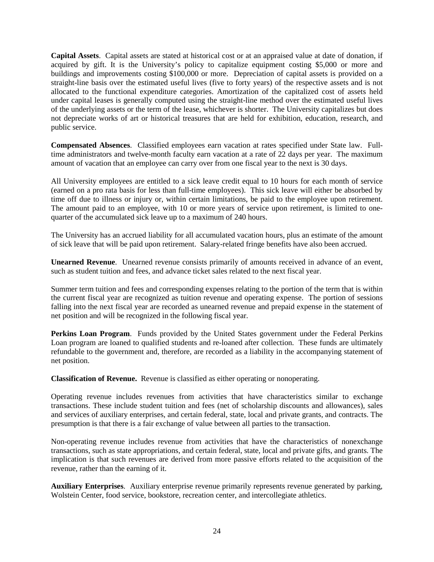**Capital Assets**. Capital assets are stated at historical cost or at an appraised value at date of donation, if acquired by gift. It is the University's policy to capitalize equipment costing \$5,000 or more and buildings and improvements costing \$100,000 or more. Depreciation of capital assets is provided on a straight-line basis over the estimated useful lives (five to forty years) of the respective assets and is not allocated to the functional expenditure categories. Amortization of the capitalized cost of assets held under capital leases is generally computed using the straight-line method over the estimated useful lives of the underlying assets or the term of the lease, whichever is shorter. The University capitalizes but does not depreciate works of art or historical treasures that are held for exhibition, education, research, and public service.

**Compensated Absences**. Classified employees earn vacation at rates specified under State law. Fulltime administrators and twelve-month faculty earn vacation at a rate of 22 days per year. The maximum amount of vacation that an employee can carry over from one fiscal year to the next is 30 days.

All University employees are entitled to a sick leave credit equal to 10 hours for each month of service (earned on a pro rata basis for less than full-time employees). This sick leave will either be absorbed by time off due to illness or injury or, within certain limitations, be paid to the employee upon retirement. The amount paid to an employee, with 10 or more years of service upon retirement, is limited to onequarter of the accumulated sick leave up to a maximum of 240 hours.

The University has an accrued liability for all accumulated vacation hours, plus an estimate of the amount of sick leave that will be paid upon retirement. Salary-related fringe benefits have also been accrued.

**Unearned Revenue**. Unearned revenue consists primarily of amounts received in advance of an event, such as student tuition and fees, and advance ticket sales related to the next fiscal year.

Summer term tuition and fees and corresponding expenses relating to the portion of the term that is within the current fiscal year are recognized as tuition revenue and operating expense. The portion of sessions falling into the next fiscal year are recorded as unearned revenue and prepaid expense in the statement of net position and will be recognized in the following fiscal year.

**Perkins Loan Program**. Funds provided by the United States government under the Federal Perkins Loan program are loaned to qualified students and re-loaned after collection. These funds are ultimately refundable to the government and, therefore, are recorded as a liability in the accompanying statement of net position.

**Classification of Revenue.** Revenue is classified as either operating or nonoperating.

Operating revenue includes revenues from activities that have characteristics similar to exchange transactions. These include student tuition and fees (net of scholarship discounts and allowances), sales and services of auxiliary enterprises, and certain federal, state, local and private grants, and contracts. The presumption is that there is a fair exchange of value between all parties to the transaction.

Non-operating revenue includes revenue from activities that have the characteristics of nonexchange transactions, such as state appropriations, and certain federal, state, local and private gifts, and grants. The implication is that such revenues are derived from more passive efforts related to the acquisition of the revenue, rather than the earning of it.

**Auxiliary Enterprises**. Auxiliary enterprise revenue primarily represents revenue generated by parking, Wolstein Center, food service, bookstore, recreation center, and intercollegiate athletics.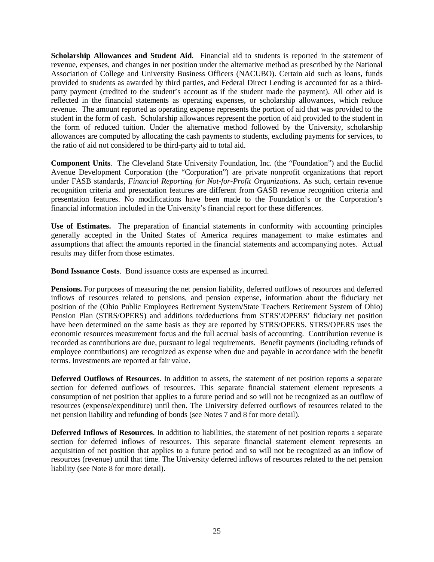**Scholarship Allowances and Student Aid**. Financial aid to students is reported in the statement of revenue, expenses, and changes in net position under the alternative method as prescribed by the National Association of College and University Business Officers (NACUBO). Certain aid such as loans, funds provided to students as awarded by third parties, and Federal Direct Lending is accounted for as a thirdparty payment (credited to the student's account as if the student made the payment). All other aid is reflected in the financial statements as operating expenses, or scholarship allowances, which reduce revenue. The amount reported as operating expense represents the portion of aid that was provided to the student in the form of cash. Scholarship allowances represent the portion of aid provided to the student in the form of reduced tuition. Under the alternative method followed by the University, scholarship allowances are computed by allocating the cash payments to students, excluding payments for services, to the ratio of aid not considered to be third-party aid to total aid.

**Component Units**. The Cleveland State University Foundation, Inc. (the "Foundation") and the Euclid Avenue Development Corporation (the "Corporation") are private nonprofit organizations that report under FASB standards, *Financial Reporting for Not-for-Profit Organizations*. As such, certain revenue recognition criteria and presentation features are different from GASB revenue recognition criteria and presentation features. No modifications have been made to the Foundation's or the Corporation's financial information included in the University's financial report for these differences.

**Use of Estimates.** The preparation of financial statements in conformity with accounting principles generally accepted in the United States of America requires management to make estimates and assumptions that affect the amounts reported in the financial statements and accompanying notes. Actual results may differ from those estimates.

**Bond Issuance Costs**. Bond issuance costs are expensed as incurred.

**Pensions.** For purposes of measuring the net pension liability, deferred outflows of resources and deferred inflows of resources related to pensions, and pension expense, information about the fiduciary net position of the (Ohio Public Employees Retirement System/State Teachers Retirement System of Ohio) Pension Plan (STRS/OPERS) and additions to/deductions from STRS'/OPERS' fiduciary net position have been determined on the same basis as they are reported by STRS/OPERS. STRS/OPERS uses the economic resources measurement focus and the full accrual basis of accounting. Contribution revenue is recorded as contributions are due, pursuant to legal requirements. Benefit payments (including refunds of employee contributions) are recognized as expense when due and payable in accordance with the benefit terms. Investments are reported at fair value.

**Deferred Outflows of Resources**. In addition to assets, the statement of net position reports a separate section for deferred outflows of resources. This separate financial statement element represents a consumption of net position that applies to a future period and so will not be recognized as an outflow of resources (expense/expenditure) until then. The University deferred outflows of resources related to the net pension liability and refunding of bonds (see Notes 7 and 8 for more detail).

**Deferred Inflows of Resources**. In addition to liabilities, the statement of net position reports a separate section for deferred inflows of resources. This separate financial statement element represents an acquisition of net position that applies to a future period and so will not be recognized as an inflow of resources (revenue) until that time. The University deferred inflows of resources related to the net pension liability (see Note 8 for more detail).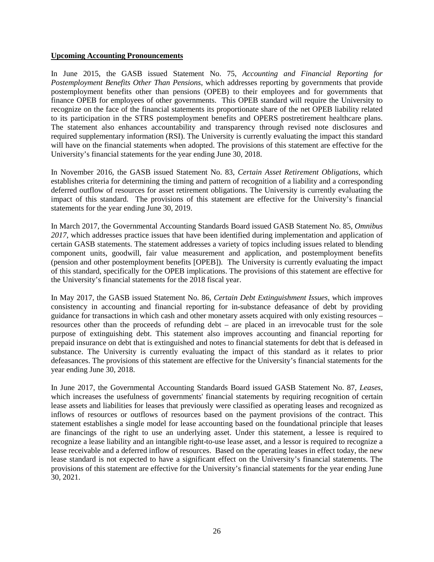#### **Upcoming Accounting Pronouncements**

In June 2015, the GASB issued Statement No. 75, *Accounting and Financial Reporting for Postemployment Benefits Other Than Pensions*, which addresses reporting by governments that provide postemployment benefits other than pensions (OPEB) to their employees and for governments that finance OPEB for employees of other governments. This OPEB standard will require the University to recognize on the face of the financial statements its proportionate share of the net OPEB liability related to its participation in the STRS postemployment benefits and OPERS postretirement healthcare plans. The statement also enhances accountability and transparency through revised note disclosures and required supplementary information (RSI). The University is currently evaluating the impact this standard will have on the financial statements when adopted. The provisions of this statement are effective for the University's financial statements for the year ending June 30, 2018.

In November 2016, the GASB issued Statement No. 83, *Certain Asset Retirement Obligations*, which establishes criteria for determining the timing and pattern of recognition of a liability and a corresponding deferred outflow of resources for asset retirement obligations. The University is currently evaluating the impact of this standard. The provisions of this statement are effective for the University's financial statements for the year ending June 30, 2019.

In March 2017, the Governmental Accounting Standards Board issued GASB Statement No. 85, *Omnibus 2017*, which addresses practice issues that have been identified during implementation and application of certain GASB statements. The statement addresses a variety of topics including issues related to blending component units, goodwill, fair value measurement and application, and postemployment benefits (pension and other postemployment benefits [OPEB]). The University is currently evaluating the impact of this standard, specifically for the OPEB implications. The provisions of this statement are effective for the University's financial statements for the 2018 fiscal year.

In May 2017, the GASB issued Statement No. 86, *Certain Debt Extinguishment Issues*, which improves consistency in accounting and financial reporting for in-substance defeasance of debt by providing guidance for transactions in which cash and other monetary assets acquired with only existing resources – resources other than the proceeds of refunding debt – are placed in an irrevocable trust for the sole purpose of extinguishing debt. This statement also improves accounting and financial reporting for prepaid insurance on debt that is extinguished and notes to financial statements for debt that is defeased in substance. The University is currently evaluating the impact of this standard as it relates to prior defeasances. The provisions of this statement are effective for the University's financial statements for the year ending June 30, 2018.

In June 2017, the Governmental Accounting Standards Board issued GASB Statement No. 87, *Leases*, which increases the usefulness of governments' financial statements by requiring recognition of certain lease assets and liabilities for leases that previously were classified as operating leases and recognized as inflows of resources or outflows of resources based on the payment provisions of the contract. This statement establishes a single model for lease accounting based on the foundational principle that leases are financings of the right to use an underlying asset. Under this statement, a lessee is required to recognize a lease liability and an intangible right-to-use lease asset, and a lessor is required to recognize a lease receivable and a deferred inflow of resources. Based on the operating leases in effect today, the new lease standard is not expected to have a significant effect on the University's financial statements. The provisions of this statement are effective for the University's financial statements for the year ending June 30, 2021.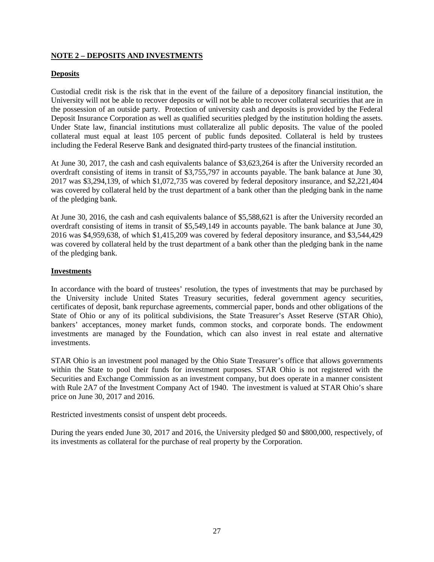# **NOTE 2 – DEPOSITS AND INVESTMENTS**

# **Deposits**

Custodial credit risk is the risk that in the event of the failure of a depository financial institution, the University will not be able to recover deposits or will not be able to recover collateral securities that are in the possession of an outside party. Protection of university cash and deposits is provided by the Federal Deposit Insurance Corporation as well as qualified securities pledged by the institution holding the assets. Under State law, financial institutions must collateralize all public deposits. The value of the pooled collateral must equal at least 105 percent of public funds deposited. Collateral is held by trustees including the Federal Reserve Bank and designated third-party trustees of the financial institution.

At June 30, 2017, the cash and cash equivalents balance of \$3,623,264 is after the University recorded an overdraft consisting of items in transit of \$3,755,797 in accounts payable. The bank balance at June 30, 2017 was \$3,294,139, of which \$1,072,735 was covered by federal depository insurance, and \$2,221,404 was covered by collateral held by the trust department of a bank other than the pledging bank in the name of the pledging bank.

At June 30, 2016, the cash and cash equivalents balance of \$5,588,621 is after the University recorded an overdraft consisting of items in transit of \$5,549,149 in accounts payable. The bank balance at June 30, 2016 was \$4,959,638, of which \$1,415,209 was covered by federal depository insurance, and \$3,544,429 was covered by collateral held by the trust department of a bank other than the pledging bank in the name of the pledging bank.

# **Investments**

In accordance with the board of trustees' resolution, the types of investments that may be purchased by the University include United States Treasury securities, federal government agency securities, certificates of deposit, bank repurchase agreements, commercial paper, bonds and other obligations of the State of Ohio or any of its political subdivisions, the State Treasurer's Asset Reserve (STAR Ohio), bankers' acceptances, money market funds, common stocks, and corporate bonds. The endowment investments are managed by the Foundation, which can also invest in real estate and alternative investments.

STAR Ohio is an investment pool managed by the Ohio State Treasurer's office that allows governments within the State to pool their funds for investment purposes. STAR Ohio is not registered with the Securities and Exchange Commission as an investment company, but does operate in a manner consistent with Rule 2A7 of the Investment Company Act of 1940. The investment is valued at STAR Ohio's share price on June 30, 2017 and 2016.

Restricted investments consist of unspent debt proceeds.

During the years ended June 30, 2017 and 2016, the University pledged \$0 and \$800,000, respectively, of its investments as collateral for the purchase of real property by the Corporation.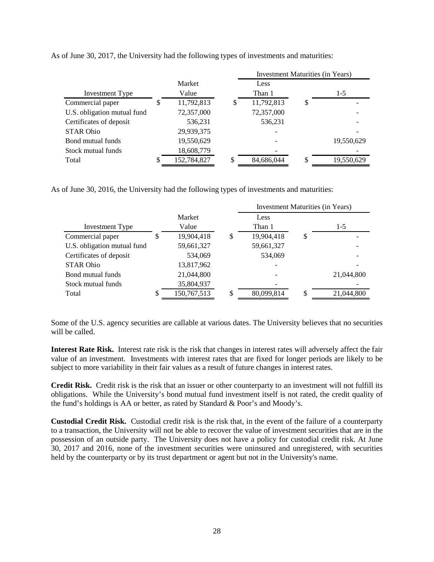|                             |   |             |   | Investment Maturities (in Years) |    |            |  |  |  |  |  |
|-----------------------------|---|-------------|---|----------------------------------|----|------------|--|--|--|--|--|
|                             |   | Market      |   | Less                             |    |            |  |  |  |  |  |
| Investment Type             |   | Value       |   | Than 1                           |    | $1-5$      |  |  |  |  |  |
| Commercial paper            | S | 11,792,813  | S | 11,792,813                       | \$ |            |  |  |  |  |  |
| U.S. obligation mutual fund |   | 72,357,000  |   | 72,357,000                       |    |            |  |  |  |  |  |
| Certificates of deposit     |   | 536,231     |   | 536,231                          |    |            |  |  |  |  |  |
| <b>STAR Ohio</b>            |   | 29,939,375  |   |                                  |    |            |  |  |  |  |  |
| Bond mutual funds           |   | 19,550,629  |   |                                  |    | 19,550,629 |  |  |  |  |  |
| Stock mutual funds          |   | 18,608,779  |   |                                  |    |            |  |  |  |  |  |
| Total                       |   | 152,784,827 |   | 84,686,044                       | S. | 19,550,629 |  |  |  |  |  |

As of June 30, 2017, the University had the following types of investments and maturities:

As of June 30, 2016, the University had the following types of investments and maturities:

|                             |   |             | <b>Investment Maturities (in Years)</b> |    |            |  |  |  |  |  |
|-----------------------------|---|-------------|-----------------------------------------|----|------------|--|--|--|--|--|
|                             |   | Market      | Less                                    |    |            |  |  |  |  |  |
| Investment Type             |   | Value       | Than 1                                  |    | $1-5$      |  |  |  |  |  |
| Commercial paper            | D | 19,904,418  | \$<br>19,904,418                        | \$ |            |  |  |  |  |  |
| U.S. obligation mutual fund |   | 59,661,327  | 59,661,327                              |    |            |  |  |  |  |  |
| Certificates of deposit     |   | 534,069     | 534,069                                 |    |            |  |  |  |  |  |
| <b>STAR Ohio</b>            |   | 13,817,962  |                                         |    |            |  |  |  |  |  |
| Bond mutual funds           |   | 21,044,800  |                                         |    | 21,044,800 |  |  |  |  |  |
| Stock mutual funds          |   | 35,804,937  |                                         |    |            |  |  |  |  |  |
| Total                       | ъ | 150,767,513 | \$<br>80,099,814                        | S  | 21,044,800 |  |  |  |  |  |

Some of the U.S. agency securities are callable at various dates. The University believes that no securities will be called.

**Interest Rate Risk.** Interest rate risk is the risk that changes in interest rates will adversely affect the fair value of an investment. Investments with interest rates that are fixed for longer periods are likely to be subject to more variability in their fair values as a result of future changes in interest rates.

**Credit Risk.** Credit risk is the risk that an issuer or other counterparty to an investment will not fulfill its obligations. While the University's bond mutual fund investment itself is not rated, the credit quality of the fund's holdings is AA or better, as rated by Standard & Poor's and Moody's.

**Custodial Credit Risk.** Custodial credit risk is the risk that, in the event of the failure of a counterparty to a transaction, the University will not be able to recover the value of investment securities that are in the possession of an outside party.The University does not have a policy for custodial credit risk. At June 30, 2017 and 2016, none of the investment securities were uninsured and unregistered, with securities held by the counterparty or by its trust department or agent but not in the University's name.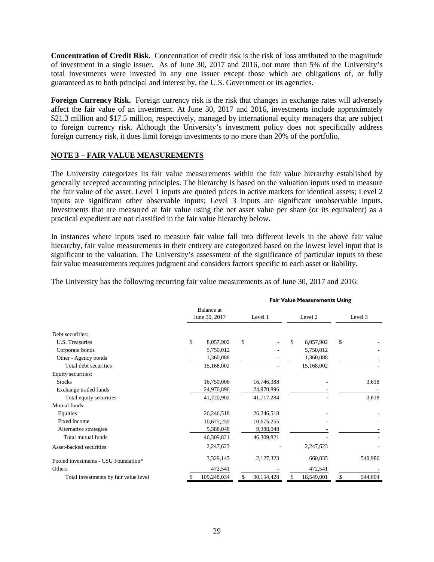**Concentration of Credit Risk.** Concentration of credit risk is the risk of loss attributed to the magnitude of investment in a single issuer. As of June 30, 2017 and 2016, not more than 5% of the University's total investments were invested in any one issuer except those which are obligations of, or fully guaranteed as to both principal and interest by, the U.S. Government or its agencies.

**Foreign Currency Risk.** Foreign currency risk is the risk that changes in exchange rates will adversely affect the fair value of an investment. At June 30, 2017 and 2016, investments include approximately \$21.3 million and \$17.5 million, respectively, managed by international equity managers that are subject to foreign currency risk. Although the University's investment policy does not specifically address foreign currency risk, it does limit foreign investments to no more than 20% of the portfolio.

## **NOTE 3 – FAIR VALUE MEASUREMENTS**

The University categorizes its fair value measurements within the fair value hierarchy established by generally accepted accounting principles. The hierarchy is based on the valuation inputs used to measure the fair value of the asset. Level 1 inputs are quoted prices in active markets for identical assets; Level 2 inputs are significant other observable inputs; Level 3 inputs are significant unobservable inputs. Investments that are measured at fair value using the net asset value per share (or its equivalent) as a practical expedient are not classified in the fair value hierarchy below.

In instances where inputs used to measure fair value fall into different levels in the above fair value hierarchy, fair value measurements in their entirety are categorized based on the lowest level input that is significant to the valuation. The University's assessment of the significance of particular inputs to these fair value measurements requires judgment and considers factors specific to each asset or liability.

**Fair Value Measurements Using**

|  |  |  | The University has the following recurring fair value measurements as of June 30, 2017 and 2016: |  |  |
|--|--|--|--------------------------------------------------------------------------------------------------|--|--|
|  |  |  |                                                                                                  |  |  |

|                                       | <b>Fail Value Pieasurements Osing</b> |                  |                  |               |  |  |  |  |  |
|---------------------------------------|---------------------------------------|------------------|------------------|---------------|--|--|--|--|--|
|                                       | Balance at<br>June 30, 2017           | Level 1          | Level 2          | Level 3       |  |  |  |  |  |
| Debt securities:                      |                                       |                  |                  |               |  |  |  |  |  |
| U.S. Treasuries                       | \$<br>8,057,902                       | \$               | \$<br>8,057,902  | \$            |  |  |  |  |  |
| Corporate bonds                       | 5,750,012                             |                  | 5,750,012        |               |  |  |  |  |  |
| Other - Agency bonds                  | 1,360,088                             |                  | 1,360,088        |               |  |  |  |  |  |
| Total debt securities                 | 15,168,002                            |                  | 15,168,002       |               |  |  |  |  |  |
| Equity securities:                    |                                       |                  |                  |               |  |  |  |  |  |
| <b>Stocks</b>                         | 16,750,006                            | 16,746,388       |                  | 3,618         |  |  |  |  |  |
| Exchange traded funds                 | 24,970,896                            | 24,970,896       |                  |               |  |  |  |  |  |
| Total equity securities               | 41,720,902                            | 41,717,284       |                  | 3,618         |  |  |  |  |  |
| Mutual funds:                         |                                       |                  |                  |               |  |  |  |  |  |
| Equities                              | 26,246,518                            | 26,246,518       |                  |               |  |  |  |  |  |
| Fixed income                          | 10,675,255                            | 10,675,255       |                  |               |  |  |  |  |  |
| Alternative strategies                | 9,388,048                             | 9,388,048        |                  |               |  |  |  |  |  |
| Total mutual funds                    | 46,309,821                            | 46,309,821       |                  |               |  |  |  |  |  |
| Asset-backed securities               | 2,247,623                             |                  | 2,247,623        |               |  |  |  |  |  |
| Pooled investments - CSU Foundation*  | 3,329,145                             | 2,127,323        | 660,835          | 540,986       |  |  |  |  |  |
| Others                                | 472,541                               |                  | 472,541          |               |  |  |  |  |  |
| Total investments by fair value level | 109,248,034<br>æ.                     | \$<br>90,154,428 | \$<br>18,549,001 | \$<br>544,604 |  |  |  |  |  |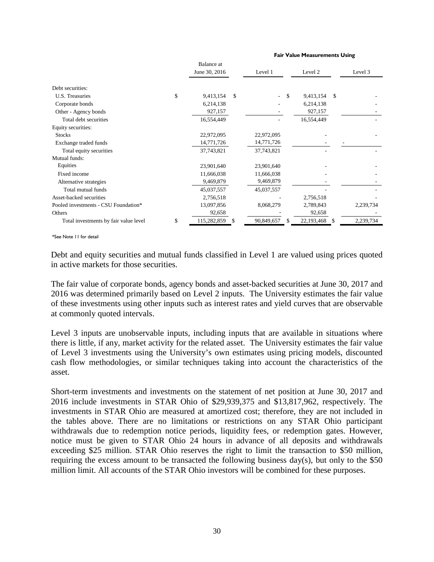|                                       | Balance at<br>June 30, 2016 |    | Level 1                  |    | Level 2      |      | Level 3   |
|---------------------------------------|-----------------------------|----|--------------------------|----|--------------|------|-----------|
| Debt securities:                      |                             |    |                          |    |              |      |           |
| U.S. Treasuries                       | \$<br>9,413,154             | \$ | $\overline{\phantom{a}}$ | -S | 9,413,154    | -S   |           |
| Corporate bonds                       | 6,214,138                   |    |                          |    | 6,214,138    |      |           |
| Other - Agency bonds                  | 927,157                     |    |                          |    | 927,157      |      |           |
| Total debt securities                 | 16,554,449                  |    |                          |    | 16,554,449   |      |           |
| Equity securities:                    |                             |    |                          |    |              |      |           |
| <b>Stocks</b>                         | 22,972,095                  |    | 22,972,095               |    |              |      |           |
| Exchange traded funds                 | 14,771,726                  |    | 14,771,726               |    |              |      |           |
| Total equity securities               | 37,743,821                  |    | 37,743,821               |    |              |      |           |
| Mutual funds:                         |                             |    |                          |    |              |      |           |
| Equities                              | 23,901,640                  |    | 23,901,640               |    |              |      |           |
| Fixed income                          | 11,666,038                  |    | 11,666,038               |    |              |      |           |
| Alternative strategies                | 9,469,879                   |    | 9,469,879                |    |              |      |           |
| Total mutual funds                    | 45,037,557                  |    | 45,037,557               |    |              |      |           |
| Asset-backed securities               | 2,756,518                   |    |                          |    | 2,756,518    |      |           |
| Pooled investments - CSU Foundation*  | 13,097,856                  |    | 8,068,279                |    | 2,789,843    |      | 2,239,734 |
| Others                                | 92,658                      |    |                          |    | 92,658       |      |           |
| Total investments by fair value level | \$<br>115,282,859           | S  | 90,849,657               | -S | 22, 193, 468 | - \$ | 2,239,734 |

**Fair Value Measurements Using**

\*See Note 11 for detail

Debt and equity securities and mutual funds classified in Level 1 are valued using prices quoted in active markets for those securities.

The fair value of corporate bonds, agency bonds and asset-backed securities at June 30, 2017 and 2016 was determined primarily based on Level 2 inputs. The University estimates the fair value of these investments using other inputs such as interest rates and yield curves that are observable at commonly quoted intervals.

Level 3 inputs are unobservable inputs, including inputs that are available in situations where there is little, if any, market activity for the related asset. The University estimates the fair value of Level 3 investments using the University's own estimates using pricing models, discounted cash flow methodologies, or similar techniques taking into account the characteristics of the asset.

Short-term investments and investments on the statement of net position at June 30, 2017 and 2016 include investments in STAR Ohio of \$29,939,375 and \$13,817,962, respectively. The investments in STAR Ohio are measured at amortized cost; therefore, they are not included in the tables above. There are no limitations or restrictions on any STAR Ohio participant withdrawals due to redemption notice periods, liquidity fees, or redemption gates. However, notice must be given to STAR Ohio 24 hours in advance of all deposits and withdrawals exceeding \$25 million. STAR Ohio reserves the right to limit the transaction to \$50 million, requiring the excess amount to be transacted the following business day(s), but only to the \$50 million limit. All accounts of the STAR Ohio investors will be combined for these purposes.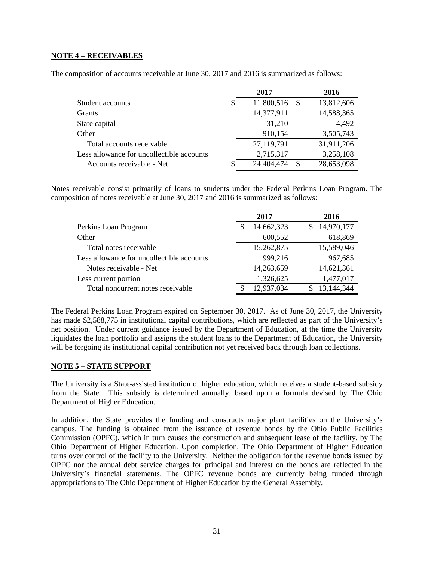# **NOTE 4 – RECEIVABLES**

The composition of accounts receivable at June 30, 2017 and 2016 is summarized as follows:

|                                           | 2017             | 2016       |
|-------------------------------------------|------------------|------------|
| Student accounts                          | \$<br>11,800,516 | 13,812,606 |
| <b>Grants</b>                             | 14,377,911       | 14,588,365 |
| State capital                             | 31,210           | 4,492      |
| Other                                     | 910,154          | 3,505,743  |
| Total accounts receivable                 | 27,119,791       | 31,911,206 |
| Less allowance for uncollectible accounts | 2,715,317        | 3,258,108  |
| Accounts receivable - Net                 | 24,404,474       | 28,653,098 |

Notes receivable consist primarily of loans to students under the Federal Perkins Loan Program. The composition of notes receivable at June 30, 2017 and 2016 is summarized as follows:

|                                           | 2017             |   | 2016       |
|-------------------------------------------|------------------|---|------------|
| Perkins Loan Program                      | \$<br>14,662,323 | S | 14,970,177 |
| Other                                     | 600,552          |   | 618,869    |
| Total notes receivable                    | 15,262,875       |   | 15,589,046 |
| Less allowance for uncollectible accounts | 999,216          |   | 967,685    |
| Notes receivable - Net                    | 14,263,659       |   | 14,621,361 |
| Less current portion                      | 1,326,625        |   | 1,477,017  |
| Total noncurrent notes receivable         | 12,937,034       |   | 13,144,344 |

The Federal Perkins Loan Program expired on September 30, 2017. As of June 30, 2017, the University has made \$2,588,775 in institutional capital contributions, which are reflected as part of the University's net position. Under current guidance issued by the Department of Education, at the time the University liquidates the loan portfolio and assigns the student loans to the Department of Education, the University will be forgoing its institutional capital contribution not yet received back through loan collections.

## **NOTE 5 – STATE SUPPORT**

The University is a State-assisted institution of higher education, which receives a student-based subsidy from the State. This subsidy is determined annually, based upon a formula devised by The Ohio Department of Higher Education.

In addition, the State provides the funding and constructs major plant facilities on the University's campus. The funding is obtained from the issuance of revenue bonds by the Ohio Public Facilities Commission (OPFC), which in turn causes the construction and subsequent lease of the facility, by The Ohio Department of Higher Education. Upon completion, The Ohio Department of Higher Education turns over control of the facility to the University. Neither the obligation for the revenue bonds issued by OPFC nor the annual debt service charges for principal and interest on the bonds are reflected in the University's financial statements. The OPFC revenue bonds are currently being funded through appropriations to The Ohio Department of Higher Education by the General Assembly.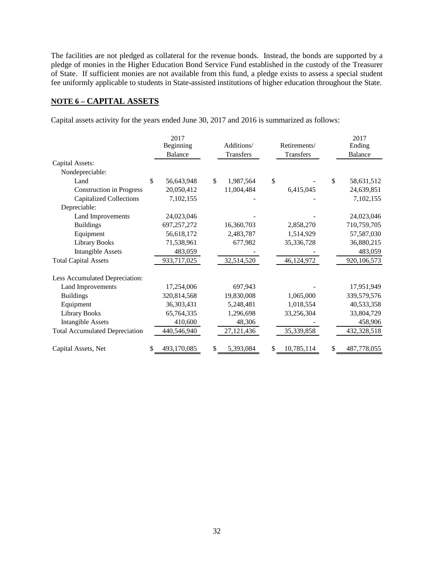The facilities are not pledged as collateral for the revenue bonds. Instead, the bonds are supported by a pledge of monies in the Higher Education Bond Service Fund established in the custody of the Treasurer of State. If sufficient monies are not available from this fund, a pledge exists to assess a special student fee uniformly applicable to students in State-assisted institutions of higher education throughout the State.

# **NOTE 6 – CAPITAL ASSETS**

Capital assets activity for the years ended June 30, 2017 and 2016 is summarized as follows:

|                                       | 2017<br>Additions/<br>Beginning<br>Transfers<br>Balance |                 | Retirements/<br>Transfers | 2017<br>Ending<br>Balance   |
|---------------------------------------|---------------------------------------------------------|-----------------|---------------------------|-----------------------------|
| Capital Assets:                       |                                                         |                 |                           |                             |
| Nondepreciable:                       |                                                         |                 |                           |                             |
| Land                                  | \$<br>56,643,948                                        | \$<br>1,987,564 | \$                        | $\mathsf{\$}$<br>58,631,512 |
| <b>Construction in Progress</b>       | 20,050,412                                              | 11,004,484      | 6,415,045                 | 24,639,851                  |
| <b>Capitalized Collections</b>        | 7,102,155                                               |                 |                           | 7,102,155                   |
| Depreciable:                          |                                                         |                 |                           |                             |
| Land Improvements                     | 24,023,046                                              |                 |                           | 24,023,046                  |
| <b>Buildings</b>                      | 697,257,272                                             | 16,360,703      | 2,858,270                 | 710,759,705                 |
| Equipment                             | 56,618,172                                              | 2,483,787       | 1,514,929                 | 57,587,030                  |
| <b>Library Books</b>                  | 71,538,961                                              | 677,982         | 35,336,728                | 36,880,215                  |
| <b>Intangible Assets</b>              | 483,059                                                 |                 |                           | 483,059                     |
| <b>Total Capital Assets</b>           | 933,717,025                                             | 32,514,520      | 46,124,972                | 920,106,573                 |
| Less Accumulated Depreciation:        |                                                         |                 |                           |                             |
| Land Improvements                     | 17,254,006                                              | 697,943         |                           | 17,951,949                  |
| <b>Buildings</b>                      | 320,814,568                                             | 19,830,008      | 1,065,000                 | 339,579,576                 |
| Equipment                             | 36,303,431                                              | 5,248,481       | 1,018,554                 | 40,533,358                  |
| <b>Library Books</b>                  | 65,764,335                                              | 1,296,698       | 33,256,304                | 33,804,729                  |
| <b>Intangible Assets</b>              | 410,600                                                 | 48,306          |                           | 458,906                     |
| <b>Total Accumulated Depreciation</b> | 440,546,940                                             | 27, 121, 436    | 35,339,858                | 432,328,518                 |
| Capital Assets, Net                   | \$<br>493,170,085                                       | \$<br>5,393,084 | \$<br>10,785,114          | 487,778,055                 |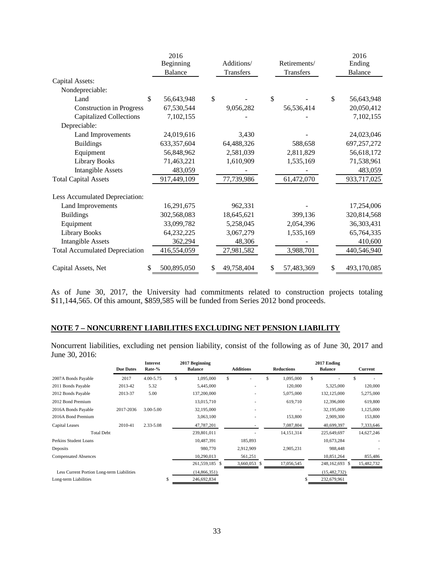|                                       | 2016<br>Beginning | Additions/       | Retirements/     | 2016<br>Ending   |
|---------------------------------------|-------------------|------------------|------------------|------------------|
|                                       | Balance           | Transfers        | Transfers        | Balance          |
| Capital Assets:                       |                   |                  |                  |                  |
| Nondepreciable:                       |                   |                  |                  |                  |
| Land                                  | \$<br>56,643,948  | \$               | $\mathbb{S}$     | \$<br>56,643,948 |
| <b>Construction in Progress</b>       | 67,530,544        | 9,056,282        | 56,536,414       | 20,050,412       |
| <b>Capitalized Collections</b>        | 7,102,155         |                  |                  | 7,102,155        |
| Depreciable:                          |                   |                  |                  |                  |
| Land Improvements                     | 24,019,616        | 3,430            |                  | 24,023,046       |
| <b>Buildings</b>                      | 633, 357, 604     | 64,488,326       | 588,658          | 697,257,272      |
| Equipment                             | 56,848,962        | 2,581,039        | 2,811,829        | 56,618,172       |
| <b>Library Books</b>                  | 71,463,221        | 1,610,909        | 1,535,169        | 71,538,961       |
| <b>Intangible Assets</b>              | 483,059           |                  |                  | 483,059          |
| <b>Total Capital Assets</b>           | 917,449,109       | 77,739,986       | 61,472,070       | 933,717,025      |
| Less Accumulated Depreciation:        |                   |                  |                  |                  |
| Land Improvements                     | 16,291,675        | 962,331          |                  | 17,254,006       |
| <b>Buildings</b>                      | 302,568,083       | 18,645,621       | 399,136          | 320,814,568      |
| Equipment                             | 33,099,782        | 5,258,045        | 2,054,396        | 36,303,431       |
| <b>Library Books</b>                  | 64,232,225        | 3,067,279        | 1,535,169        | 65,764,335       |
| <b>Intangible Assets</b>              | 362,294           | 48,306           |                  | 410,600          |
| <b>Total Accumulated Depreciation</b> | 416,554,059       | 27,981,582       | 3,988,701        | 440,546,940      |
| Capital Assets, Net                   | 500,895,050<br>\$ | \$<br>49,758,404 | 57,483,369<br>\$ | 493,170,085<br>S |

As of June 30, 2017, the University had commitments related to construction projects totaling \$11,144,565. Of this amount, \$859,585 will be funded from Series 2012 bond proceeds.

# **NOTE 7 – NONCURRENT LIABILITIES EXCLUDING NET PENSION LIABILITY**

Noncurrent liabilities, excluding net pension liability, consist of the following as of June 30, 2017 and June 30, 2016:

|                                            | <b>Due Dates</b> | <b>Interest</b><br>Rate-% | 2017 Beginning<br><b>Balance</b> |   | <b>Additions</b><br><b>Reductions</b> |    |              | 2017 Ending<br><b>Balance</b> |                | Current |            |
|--------------------------------------------|------------------|---------------------------|----------------------------------|---|---------------------------------------|----|--------------|-------------------------------|----------------|---------|------------|
| 2007A Bonds Payable                        | 2017             | 4.00-5.75                 | \$<br>1,095,000                  | S |                                       | \$ | 1,095,000    | \$                            |                | \$      |            |
| 2011 Bonds Payable                         | 2013-42          | 5.32                      | 5,445,000                        |   |                                       |    | 120,000      |                               | 5,325,000      |         | 120,000    |
| 2012 Bonds Payable                         | 2013-37          | 5.00                      | 137,200,000                      |   | ۰                                     |    | 5,075,000    |                               | 132,125,000    |         | 5,275,000  |
| 2012 Bond Premium                          |                  |                           | 13,015,710                       |   |                                       |    | 619,710      |                               | 12,396,000     |         | 619,800    |
| 2016A Bonds Payable                        | 2017-2036        | $3.00 - 5.00$             | 32,195,000                       |   |                                       |    |              |                               | 32,195,000     |         | 1,125,000  |
| 2016A Bond Premium                         |                  |                           | 3,063,100                        |   |                                       |    | 153,800      |                               | 2,909,300      |         | 153,800    |
| <b>Capital Leases</b>                      | 2010-41          | 2.33-5.08                 | 47,787,201                       |   |                                       |    | 7,087,804    |                               | 40,699,397     |         | 7,333,646  |
| <b>Total Debt</b>                          |                  |                           | 239,801,011                      |   |                                       |    | 14, 151, 314 |                               | 225,649,697    |         | 14,627,246 |
| Perkins Student Loans                      |                  |                           | 10,487,391                       |   | 185,893                               |    |              |                               | 10,673,284     |         |            |
| Deposits                                   |                  |                           | 980,770                          |   | 2,912,909                             |    | 2,905,231    |                               | 988,448        |         |            |
| <b>Compensated Absences</b>                |                  |                           | 10,290,013                       |   | 561,251                               |    |              |                               | 10,851,264     |         | 855,486    |
|                                            |                  |                           | 261,559,185 \$                   |   | 3,660,053 \$                          |    | 17,056,545   |                               | 248,162,693 \$ |         | 15,482,732 |
| Less Current Portion Long-term Liabilities |                  |                           | (14,866,351)                     |   |                                       |    |              |                               | (15, 482, 732) |         |            |
| Long-term Liabilities                      |                  |                           | 246,692,834                      |   |                                       |    |              |                               | 232,679,961    |         |            |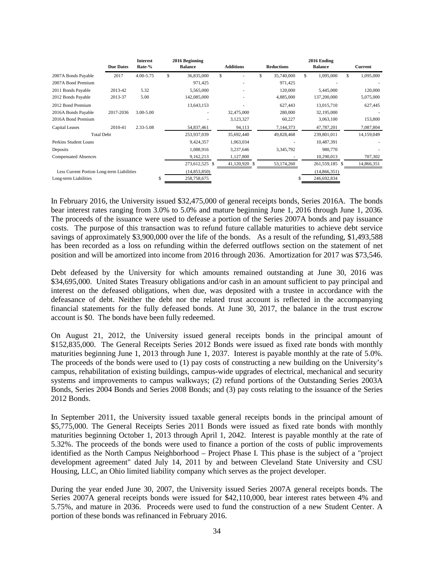|                                            | <b>Due Dates</b> | <b>Interest</b><br>Rate-% |    | 2016 Beginning<br><b>Balance</b> | <b>Additions</b> |               |   |            |     |                |            |  |  | <b>Reductions</b> |  | 2016 Ending<br><b>Balance</b> | Current |
|--------------------------------------------|------------------|---------------------------|----|----------------------------------|------------------|---------------|---|------------|-----|----------------|------------|--|--|-------------------|--|-------------------------------|---------|
| 2007A Bonds Payable                        | 2017             | 4.00-5.75                 | \$ | 36,835,000                       | S                |               | S | 35,740,000 | \$. | 1,095,000      | 1,095,000  |  |  |                   |  |                               |         |
| 2007A Bond Premium                         |                  |                           |    | 971,425                          |                  | ٠             |   | 971,425    |     |                |            |  |  |                   |  |                               |         |
| 2011 Bonds Payable                         | 2013-42          | 5.32                      |    | 5,565,000                        |                  | ٠             |   | 120,000    |     | 5,445,000      | 120,000    |  |  |                   |  |                               |         |
| 2012 Bonds Payable                         | 2013-37          | 5.00                      |    | 142,085,000                      |                  | ٠             |   | 4,885,000  |     | 137,200,000    | 5,075,000  |  |  |                   |  |                               |         |
| 2012 Bond Premium                          |                  |                           |    | 13,643,153                       |                  |               |   | 627,443    |     | 13,015,710     | 627,445    |  |  |                   |  |                               |         |
| 2016A Bonds Payable                        | 2017-2036        | $3.00 - 5.00$             |    | ٠                                |                  | 32,475,000    |   | 280,000    |     | 32,195,000     |            |  |  |                   |  |                               |         |
| 2016A Bond Premium                         |                  |                           |    |                                  |                  | 3,123,327     |   | 60,227     |     | 3,063,100      | 153,800    |  |  |                   |  |                               |         |
| <b>Capital Leases</b>                      | 2010-41          | 2.33-5.08                 |    | 54,837,461                       |                  | 94,113        |   | 7,144,373  |     | 47,787,201     | 7,087,804  |  |  |                   |  |                               |         |
| <b>Total Debt</b>                          |                  |                           |    | 253,937,039                      |                  | 35,692,440    |   | 49,828,468 |     | 239,801,011    | 14,159,049 |  |  |                   |  |                               |         |
| Perkins Student Loans                      |                  |                           |    | 9,424,357                        |                  | 1,063,034     |   |            |     | 10,487,391     |            |  |  |                   |  |                               |         |
| Deposits                                   |                  |                           |    | 1,088,916                        |                  | 3,237,646     |   | 3,345,792  |     | 980,770        |            |  |  |                   |  |                               |         |
| <b>Compensated Absences</b>                |                  |                           |    | 9,162,213                        |                  | 1,127,800     |   |            |     | 10,290,013     | 707,302    |  |  |                   |  |                               |         |
|                                            |                  |                           |    | 273,612,525 \$                   |                  | 41,120,920 \$ |   | 53,174,260 |     | 261,559,185 \$ | 14,866,351 |  |  |                   |  |                               |         |
| Less Current Portion Long-term Liabilities |                  |                           |    | (14,853,850)                     |                  |               |   |            |     | (14,866,351)   |            |  |  |                   |  |                               |         |
| Long-term Liabilities                      |                  |                           | S  | 258,758,675                      |                  |               |   |            |     | 246,692,834    |            |  |  |                   |  |                               |         |

In February 2016, the University issued \$32,475,000 of general receipts bonds, Series 2016A. The bonds bear interest rates ranging from 3.0% to 5.0% and mature beginning June 1, 2016 through June 1, 2036. The proceeds of the issuance were used to defease a portion of the Series 2007A bonds and pay issuance costs. The purpose of this transaction was to refund future callable maturities to achieve debt service savings of approximately \$3,900,000 over the life of the bonds. As a result of the refunding, \$1,493,588 has been recorded as a loss on refunding within the deferred outflows section on the statement of net position and will be amortized into income from 2016 through 2036. Amortization for 2017 was \$73,546.

Debt defeased by the University for which amounts remained outstanding at June 30, 2016 was \$34,695,000. United States Treasury obligations and/or cash in an amount sufficient to pay principal and interest on the defeased obligations, when due, was deposited with a trustee in accordance with the defeasance of debt. Neither the debt nor the related trust account is reflected in the accompanying financial statements for the fully defeased bonds. At June 30, 2017, the balance in the trust escrow account is \$0. The bonds have been fully redeemed.

On August 21, 2012, the University issued general receipts bonds in the principal amount of \$152,835,000. The General Receipts Series 2012 Bonds were issued as fixed rate bonds with monthly maturities beginning June 1, 2013 through June 1, 2037. Interest is payable monthly at the rate of 5.0%. The proceeds of the bonds were used to (1) pay costs of constructing a new building on the University's campus, rehabilitation of existing buildings, campus-wide upgrades of electrical, mechanical and security systems and improvements to campus walkways; (2) refund portions of the Outstanding Series 2003A Bonds, Series 2004 Bonds and Series 2008 Bonds; and (3) pay costs relating to the issuance of the Series 2012 Bonds.

In September 2011, the University issued taxable general receipts bonds in the principal amount of \$5,775,000. The General Receipts Series 2011 Bonds were issued as fixed rate bonds with monthly maturities beginning October 1, 2013 through April 1, 2042. Interest is payable monthly at the rate of 5.32%. The proceeds of the bonds were used to finance a portion of the costs of public improvements identified as the North Campus Neighborhood – Project Phase I. This phase is the subject of a "project development agreement" dated July 14, 2011 by and between Cleveland State University and CSU Housing, LLC, an Ohio limited liability company which serves as the project developer.

During the year ended June 30, 2007, the University issued Series 2007A general receipts bonds. The Series 2007A general receipts bonds were issued for \$42,110,000, bear interest rates between 4% and 5.75%, and mature in 2036. Proceeds were used to fund the construction of a new Student Center. A portion of these bonds was refinanced in February 2016.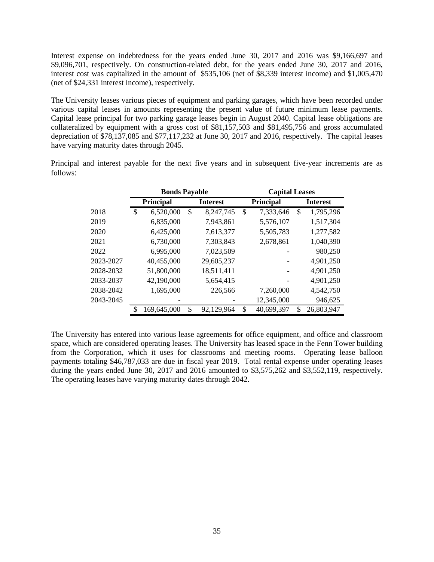Interest expense on indebtedness for the years ended June 30, 2017 and 2016 was \$9,166,697 and \$9,096,701, respectively. On construction-related debt, for the years ended June 30, 2017 and 2016, interest cost was capitalized in the amount of \$535,106 (net of \$8,339 interest income) and \$1,005,470 (net of \$24,331 interest income), respectively.

The University leases various pieces of equipment and parking garages, which have been recorded under various capital leases in amounts representing the present value of future minimum lease payments. Capital lease principal for two parking garage leases begin in August 2040. Capital lease obligations are collateralized by equipment with a gross cost of \$81,157,503 and \$81,495,756 and gross accumulated depreciation of \$78,137,085 and \$77,117,232 at June 30, 2017 and 2016, respectively. The capital leases have varying maturity dates through 2045.

Principal and interest payable for the next five years and in subsequent five-year increments are as follows:

|           | <b>Bonds Payable</b> |             |    | <b>Capital Leases</b> |    |            |    |                 |
|-----------|----------------------|-------------|----|-----------------------|----|------------|----|-----------------|
|           |                      | Principal   |    | <b>Interest</b>       |    | Principal  |    | <b>Interest</b> |
| 2018      | \$                   | 6,520,000   | \$ | 8,247,745             | \$ | 7,333,646  | \$ | 1,795,296       |
| 2019      |                      | 6,835,000   |    | 7,943,861             |    | 5,576,107  |    | 1,517,304       |
| 2020      |                      | 6,425,000   |    | 7,613,377             |    | 5,505,783  |    | 1,277,582       |
| 2021      |                      | 6,730,000   |    | 7,303,843             |    | 2,678,861  |    | 1,040,390       |
| 2022      |                      | 6,995,000   |    | 7,023,509             |    |            |    | 980,250         |
| 2023-2027 |                      | 40,455,000  |    | 29,605,237            |    |            |    | 4,901,250       |
| 2028-2032 |                      | 51,800,000  |    | 18,511,411            |    |            |    | 4,901,250       |
| 2033-2037 |                      | 42,190,000  |    | 5,654,415             |    |            |    | 4,901,250       |
| 2038-2042 |                      | 1,695,000   |    | 226,566               |    | 7,260,000  |    | 4,542,750       |
| 2043-2045 |                      |             |    |                       |    | 12,345,000 |    | 946,625         |
|           |                      | 169,645,000 | \$ | 92,129,964            | \$ | 40,699,397 |    | 26,803,947      |

The University has entered into various lease agreements for office equipment, and office and classroom space, which are considered operating leases. The University has leased space in the Fenn Tower building from the Corporation, which it uses for classrooms and meeting rooms. Operating lease balloon payments totaling \$46,787,033 are due in fiscal year 2019. Total rental expense under operating leases during the years ended June 30, 2017 and 2016 amounted to \$3,575,262 and \$3,552,119, respectively. The operating leases have varying maturity dates through 2042.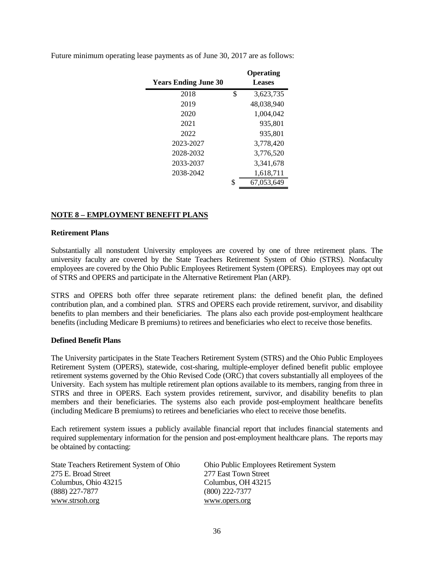| <b>Years Ending June 30</b> |    | Operating<br><b>Leases</b> |
|-----------------------------|----|----------------------------|
| 2018                        | \$ | 3,623,735                  |
| 2019                        |    | 48,038,940                 |
| 2020                        |    | 1,004,042                  |
| 2021                        |    | 935,801                    |
| 2022                        |    | 935,801                    |
| 2023-2027                   |    | 3,778,420                  |
| 2028-2032                   |    | 3,776,520                  |
| 2033-2037                   |    | 3,341,678                  |
| 2038-2042                   |    | 1,618,711                  |
|                             | S  | 67,053,649                 |
|                             |    |                            |

Future minimum operating lease payments as of June 30, 2017 are as follows:

# **NOTE 8 – EMPLOYMENT BENEFIT PLANS**

#### **Retirement Plans**

Substantially all nonstudent University employees are covered by one of three retirement plans. The university faculty are covered by the State Teachers Retirement System of Ohio (STRS). Nonfaculty employees are covered by the Ohio Public Employees Retirement System (OPERS). Employees may opt out of STRS and OPERS and participate in the Alternative Retirement Plan (ARP).

STRS and OPERS both offer three separate retirement plans: the defined benefit plan, the defined contribution plan, and a combined plan. STRS and OPERS each provide retirement, survivor, and disability benefits to plan members and their beneficiaries. The plans also each provide post-employment healthcare benefits (including Medicare B premiums) to retirees and beneficiaries who elect to receive those benefits.

#### **Defined Benefit Plans**

The University participates in the State Teachers Retirement System (STRS) and the Ohio Public Employees Retirement System (OPERS), statewide, cost-sharing, multiple-employer defined benefit public employee retirement systems governed by the Ohio Revised Code (ORC) that covers substantially all employees of the University. Each system has multiple retirement plan options available to its members, ranging from three in STRS and three in OPERS. Each system provides retirement, survivor, and disability benefits to plan members and their beneficiaries. The systems also each provide post-employment healthcare benefits (including Medicare B premiums) to retirees and beneficiaries who elect to receive those benefits.

Each retirement system issues a publicly available financial report that includes financial statements and required supplementary information for the pension and post-employment healthcare plans. The reports may be obtained by contacting:

| State Teachers Retirement System of Ohio | <b>Ohio Public Employees Retirement System</b> |
|------------------------------------------|------------------------------------------------|
| 275 E. Broad Street                      | 277 East Town Street                           |
| Columbus, Ohio 43215                     | Columbus, OH 43215                             |
| $(888)$ 227-7877                         | $(800)$ 222-7377                               |
| www.strsoh.org                           | www.opers.org                                  |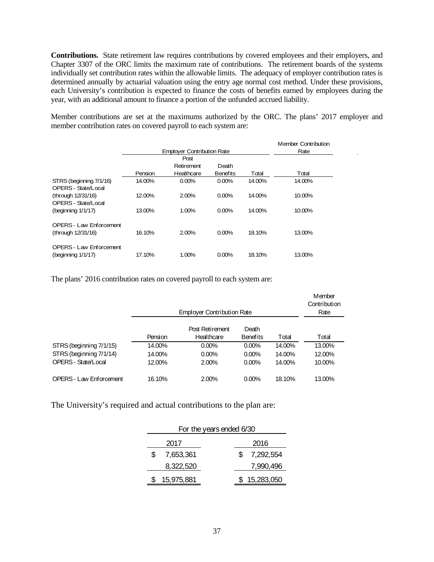**Contributions.** State retirement law requires contributions by covered employees and their employers, and Chapter 3307 of the ORC limits the maximum rate of contributions. The retirement boards of the systems individually set contribution rates within the allowable limits. The adequacy of employer contribution rates is determined annually by actuarial valuation using the entry age normal cost method. Under these provisions, each University's contribution is expected to finance the costs of benefits earned by employees during the year, with an additional amount to finance a portion of the unfunded accrued liability.

Member contributions are set at the maximums authorized by the ORC. The plans' 2017 employer and member contribution rates on covered payroll to each system are:

|                                |         | <b>Employer Contribution Rate</b> |                 |        | <b>Member Contribution</b><br>Rate |
|--------------------------------|---------|-----------------------------------|-----------------|--------|------------------------------------|
|                                |         |                                   |                 |        |                                    |
|                                |         | Post                              |                 |        |                                    |
|                                |         | Retirement                        | Death           |        |                                    |
|                                | Pension | Healthcare                        | <b>Benefits</b> | Total  | Total                              |
| STRS (beginning 7/1/16)        | 14.00%  | 0.00%                             | 0.00%           | 14.00% | 14.00%                             |
| OPERS - State/Local            |         |                                   |                 |        |                                    |
| (through 12/31/16)             | 12.00%  | 2.00%                             | 0.00%           | 14.00% | 10.00%                             |
| OPERS - State/Local            |         |                                   |                 |        |                                    |
| $(beginning 1/1/17)$           | 13.00%  | 1.00%                             | 0.00%           | 14.00% | 10.00%                             |
| <b>OPERS - Law Enforcement</b> |         |                                   |                 |        |                                    |
| (through 12/31/16)             | 16.10%  | 2.00%                             | 0.00%           | 18.10% | 13.00%                             |
|                                |         |                                   |                 |        |                                    |
| <b>OPERS - Law Enforcement</b> |         |                                   |                 |        |                                    |
| $(beginning 1/1/17)$           | 17.10%  | 1.00%                             | 0.00%           | 18.10% | 13.00%                             |

The plans' 2016 contribution rates on covered payroll to each system are:

|                                |         | Member<br>Contribution<br>Rate |                 |        |        |
|--------------------------------|---------|--------------------------------|-----------------|--------|--------|
|                                |         | Post Retirement                | Death           |        |        |
|                                | Pension | Healthcare                     | <b>Benefits</b> | Total  | Total  |
| STRS (beginning 7/1/15)        | 14.00%  | $0.00\%$                       | $0.00\%$        | 14.00% | 13.00% |
| STRS (beginning 7/1/14)        | 14.00%  | $0.00\%$                       | $0.00\%$        | 14.00% | 12.00% |
| OPERS - State/Local            | 12.00%  | 2.00%                          | $0.00\%$        | 14.00% | 10.00% |
| <b>OPERS - Law Enforcement</b> | 16.10%  | 2.00%                          | $0.00\%$        | 18.10% | 13.00% |

The University's required and actual contributions to the plan are:

| For the years ended 6/30 |                  |  |  |  |
|--------------------------|------------------|--|--|--|
| 2017                     | 2016             |  |  |  |
| \$<br>7,653,361          | \$.<br>7,292,554 |  |  |  |
| 8,322,520                | 7,990,496        |  |  |  |
| 15,975,881               | 15,283,050       |  |  |  |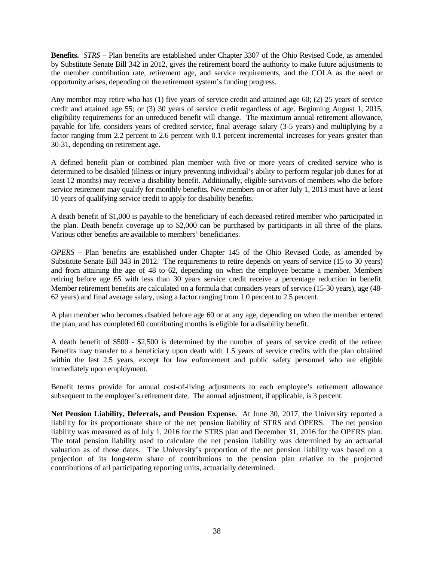**Benefits.** *STRS* – Plan benefits are established under Chapter 3307 of the Ohio Revised Code, as amended by Substitute Senate Bill 342 in 2012, gives the retirement board the authority to make future adjustments to the member contribution rate, retirement age, and service requirements, and the COLA as the need or opportunity arises, depending on the retirement system's funding progress.

Any member may retire who has (1) five years of service credit and attained age 60; (2) 25 years of service credit and attained age 55; or (3) 30 years of service credit regardless of age. Beginning August 1, 2015, eligibility requirements for an unreduced benefit will change. The maximum annual retirement allowance, payable for life, considers years of credited service, final average salary (3-5 years) and multiplying by a factor ranging from 2.2 percent to 2.6 percent with 0.1 percent incremental increases for years greater than 30-31, depending on retirement age.

A defined benefit plan or combined plan member with five or more years of credited service who is determined to be disabled (illness or injury preventing individual's ability to perform regular job duties for at least 12 months) may receive a disability benefit. Additionally, eligible survivors of members who die before service retirement may qualify for monthly benefits. New members on or after July 1, 2013 must have at least 10 years of qualifying service credit to apply for disability benefits.

A death benefit of \$1,000 is payable to the beneficiary of each deceased retired member who participated in the plan. Death benefit coverage up to \$2,000 can be purchased by participants in all three of the plans. Various other benefits are available to members' beneficiaries.

*OPERS* – Plan benefits are established under Chapter 145 of the Ohio Revised Code, as amended by Substitute Senate Bill 343 in 2012. The requirements to retire depends on years of service (15 to 30 years) and from attaining the age of 48 to 62, depending on when the employee became a member. Members retiring before age 65 with less than 30 years service credit receive a percentage reduction in benefit. Member retirement benefits are calculated on a formula that considers years of service (15-30 years), age (48- 62 years) and final average salary, using a factor ranging from 1.0 percent to 2.5 percent.

A plan member who becomes disabled before age 60 or at any age, depending on when the member entered the plan, and has completed 60 contributing months is eligible for a disability benefit.

A death benefit of \$500 - \$2,500 is determined by the number of years of service credit of the retiree. Benefits may transfer to a beneficiary upon death with 1.5 years of service credits with the plan obtained within the last 2.5 years, except for law enforcement and public safety personnel who are eligible immediately upon employment.

Benefit terms provide for annual cost-of-living adjustments to each employee's retirement allowance subsequent to the employee's retirement date. The annual adjustment, if applicable, is 3 percent.

**Net Pension Liability, Deferrals, and Pension Expense.** At June 30, 2017, the University reported a liability for its proportionate share of the net pension liability of STRS and OPERS. The net pension liability was measured as of July 1, 2016 for the STRS plan and December 31, 2016 for the OPERS plan. The total pension liability used to calculate the net pension liability was determined by an actuarial valuation as of those dates. The University's proportion of the net pension liability was based on a projection of its long-term share of contributions to the pension plan relative to the projected contributions of all participating reporting units, actuarially determined.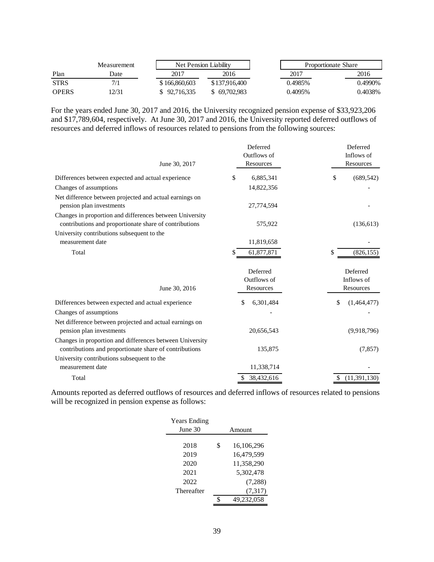|              | <b>Measurement</b> |               | Net Pension Liability |  | Proportionate Share |         |
|--------------|--------------------|---------------|-----------------------|--|---------------------|---------|
| Plan         | Date               | 2017          | 2016                  |  | 2017                | 2016    |
| <b>STRS</b>  | 7/1                | \$166,860,603 | \$137,916,400         |  | 0.4985%             | 0.4990% |
| <b>OPERS</b> | 12/31              | \$92,716,335  | \$69,702,983          |  | 0.4095%             | 0.4038% |

For the years ended June 30, 2017 and 2016, the University recognized pension expense of \$33,923,206 and \$17,789,604, respectively. At June 30, 2017 and 2016, the University reported deferred outflows of resources and deferred inflows of resources related to pensions from the following sources:

| June 30, 2017                                                                                                      | Deferred<br>Outflows of<br>Resources | Deferred<br>Inflows of<br>Resources |
|--------------------------------------------------------------------------------------------------------------------|--------------------------------------|-------------------------------------|
| Differences between expected and actual experience                                                                 | \$<br>6,885,341                      | \$<br>(689, 542)                    |
| Changes of assumptions                                                                                             | 14,822,356                           |                                     |
| Net difference between projected and actual earnings on<br>pension plan investments                                | 27,774,594                           |                                     |
| Changes in proportion and differences between University<br>contributions and proportionate share of contributions | 575,922                              | (136, 613)                          |
| University contributions subsequent to the<br>measurement date                                                     | 11,819,658                           |                                     |
| Total                                                                                                              | 61,877,871                           | (826, 155)<br>S                     |
| June 30, 2016                                                                                                      | Deferred<br>Outflows of<br>Resources | Deferred<br>Inflows of<br>Resources |
| Differences between expected and actual experience                                                                 | 6,301,484<br>\$                      | \$<br>(1,464,477)                   |
| Changes of assumptions                                                                                             |                                      |                                     |
| Net difference between projected and actual earnings on<br>pension plan investments                                | 20,656,543                           | (9,918,796)                         |
| Changes in proportion and differences between University<br>contributions and proportionate share of contributions | 135,875                              | (7, 857)                            |
| University contributions subsequent to the                                                                         |                                      |                                     |
| measurement date                                                                                                   | 11,338,714                           |                                     |
| Total                                                                                                              | 38,432,616                           | (11, 391, 130)                      |

Amounts reported as deferred outflows of resources and deferred inflows of resources related to pensions will be recognized in pension expense as follows:

| <b>Years Ending</b> |                  |
|---------------------|------------------|
| June 30             | Amount           |
|                     |                  |
| 2018                | \$<br>16,106,296 |
| 2019                | 16,479,599       |
| 2020                | 11,358,290       |
| 2021                | 5,302,478        |
| 2022                | (7,288)          |
| Thereafter          | (7, 317)         |
|                     | 49,232,058       |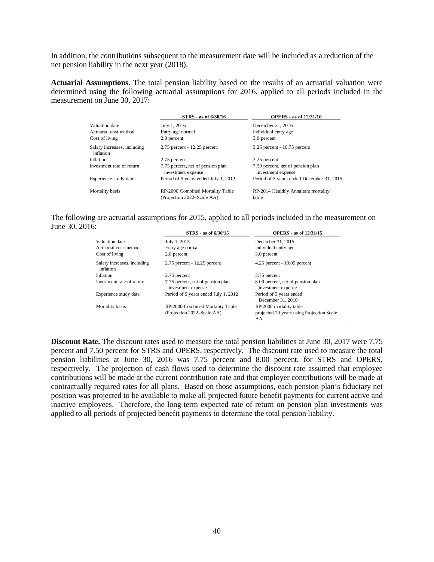In addition, the contributions subsequent to the measurement date will be included as a reduction of the net pension liability in the next year (2018).

**Actuarial Assumptions**. The total pension liability based on the results of an actuarial valuation were determined using the following actuarial assumptions for 2016, applied to all periods included in the measurement on June 30, 2017:

|                                          | STRS - as of 6/30/16                                           | <b>OPERS</b> - as of 12/31/16                           |
|------------------------------------------|----------------------------------------------------------------|---------------------------------------------------------|
| Valuation date                           | July 1, 2016                                                   | December 31, 2016                                       |
| Actuarial cost method                    | Entry age normal                                               | Individual entry age                                    |
| Cost of living                           | 2.0 percent                                                    | 3.0 percent                                             |
| Salary increases, including<br>inflation | $2.75$ percent - 12.25 percent                                 | $3.25$ percent - 10.75 percent                          |
| Inflation                                | 2.75 percent                                                   | 3.25 percent                                            |
| Investment rate of return                | 7.75 percent, net of pension plan<br>investment expense        | 7.50 percent, net of pension plan<br>investment expense |
| Experience study date                    | Period of 5 years ended July 1, 2012                           | Period of 5 years ended December 31, 2015               |
| Mortality basis                          | RP-2000 Combined Mortality Table<br>(Projection 2022–Scale AA) | RP-2014 Healthly Annuitant mortality<br>table           |

The following are actuarial assumptions for 2015, applied to all periods included in the measurement on June 30, 2016:

|                                          | STRS - as of 6/30/15                                           | <b>OPERS</b> - as of 12/31/15                                              |
|------------------------------------------|----------------------------------------------------------------|----------------------------------------------------------------------------|
| Valuation date                           | July 1, 2015                                                   | December 31, 2015                                                          |
| Actuarial cost method                    | Entry age normal                                               | Individual entry age                                                       |
| Cost of living                           | 2.0 percent                                                    | 3.0 percent                                                                |
| Salary increases, including<br>inflation | $2.75$ percent - 12.25 percent                                 | $4.25$ percent - $10.05$ percent                                           |
| Inflation                                | 2.75 percent                                                   | 3.75 percent                                                               |
| Investment rate of return                | 7.75 percent, net of pension plan<br>investment expense        | 8.00 percent, net of pension plan<br>investment expense                    |
| Experience study date                    | Period of 5 years ended July 1, 2012                           | Period of 5 years ended<br>December 31, 2010                               |
| Mortality basis                          | RP-2000 Combined Mortality Table<br>(Projection 2022–Scale AA) | RP-2000 mortality table<br>projected 20 years using Projection Scale<br>AA |

**Discount Rate.** The discount rates used to measure the total pension liabilities at June 30, 2017 were 7.75 percent and 7.50 percent for STRS and OPERS, respectively. The discount rate used to measure the total pension liabilities at June 30, 2016 was 7.75 percent and 8.00 percent, for STRS and OPERS, respectively. The projection of cash flows used to determine the discount rate assumed that employee contributions will be made at the current contribution rate and that employer contributions will be made at contractually required rates for all plans. Based on those assumptions, each pension plan's fiduciary net position was projected to be available to make all projected future benefit payments for current active and inactive employees. Therefore, the long-term expected rate of return on pension plan investments was applied to all periods of projected benefit payments to determine the total pension liability.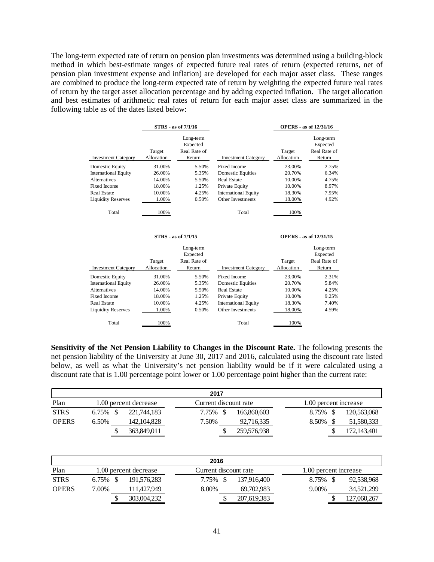The long-term expected rate of return on pension plan investments was determined using a building-block method in which best-estimate ranges of expected future real rates of return (expected returns, net of pension plan investment expense and inflation) are developed for each major asset class. These ranges are combined to produce the long-term expected rate of return by weighting the expected future real rates of return by the target asset allocation percentage and by adding expected inflation. The target allocation and best estimates of arithmetic real rates of return for each major asset class are summarized in the following table as of the dates listed below:

|                             | STRS - as of 7/1/16  |                                                 |                             |                      | <b>OPERS</b> - as of 12/31/16                   |
|-----------------------------|----------------------|-------------------------------------------------|-----------------------------|----------------------|-------------------------------------------------|
| <b>Investment Category</b>  | Target<br>Allocation | Long-term<br>Expected<br>Real Rate of<br>Return | <b>Investment Category</b>  | Target<br>Allocation | Long-term<br>Expected<br>Real Rate of<br>Return |
| Domestic Equity             | 31.00%               | 5.50%                                           | Fixed Income                | 23.00%               | 2.75%                                           |
| <b>International Equity</b> | 26.00%               | 5.35%                                           | <b>Domestic Equities</b>    | 20.70%               | 6.34%                                           |
| <b>Alternatives</b>         | 14.00%               | 5.50%                                           | <b>Real Estate</b>          | 10.00%               | 4.75%                                           |
| <b>Fixed Income</b>         | 18.00%               | 1.25%                                           | Private Equity              | 10.00%               | 8.97%                                           |
| <b>Real Estate</b>          | 10.00%               | 4.25%                                           | <b>International Equity</b> | 18.30%               | 7.95%                                           |
| <b>Liquidity Reserves</b>   | 1.00%                | 0.50%                                           | Other Investments           | 18.00%               | 4.92%                                           |
| Total                       | 100%                 |                                                 | Total                       | 100%                 |                                                 |
|                             |                      | STRS - as of 7/1/15                             |                             |                      | <b>OPERS</b> - as of 12/31/15                   |
|                             |                      | Long-term<br>Expected                           |                             |                      | Long-term<br>Expected                           |
|                             | Target               | Real Rate of                                    |                             | Target               | Real Rate of                                    |
| <b>Investment Category</b>  | Allocation           | Return                                          | <b>Investment Category</b>  | Allocation           | Return                                          |
| Domestic Equity             | 31.00%               | 5.50%                                           | Fixed Income                | 23.00%               | 2.31%                                           |
| <b>International Equity</b> | 26.00%               | 5.35%                                           | <b>Domestic Equities</b>    | 20.70%               | 5.84%                                           |
| <b>Alternatives</b>         | 14.00%               | 5.50%                                           | <b>Real Estate</b>          | 10.00%               | 4.25%                                           |
| Fixed Income                |                      |                                                 |                             |                      |                                                 |
|                             | 18.00%               | 1.25%                                           | Private Equity              | 10.00%               | 9.25%                                           |
| <b>Real Estate</b>          | 10.00%               | 4.25%                                           | <b>International Equity</b> | 18.30%               | 7.40%                                           |
| <b>Liquidity Reserves</b>   | 1.00%                | 0.50%                                           | Other Investments           | 18.00%               | 4.59%                                           |

**Sensitivity of the Net Pension Liability to Changes in the Discount Rate.** The following presents the net pension liability of the University at June 30, 2017 and 2016, calculated using the discount rate listed below, as well as what the University's net pension liability would be if it were calculated using a discount rate that is 1.00 percentage point lower or 1.00 percentage point higher than the current rate:

|              | 2017        |  |                       |  |       |  |                       |  |                       |  |             |  |
|--------------|-------------|--|-----------------------|--|-------|--|-----------------------|--|-----------------------|--|-------------|--|
| Plan         |             |  | 1.00 percent decrease |  |       |  | Current discount rate |  | 1.00 percent increase |  |             |  |
| <b>STRS</b>  | $6.75\%$ \$ |  | 221.744.183           |  | 7.75% |  | 166,860,603           |  | 8.75%                 |  | 120,563,068 |  |
| <b>OPERS</b> | $6.50\%$    |  | 142, 104, 828         |  | 7.50% |  | 92,716,335            |  | 8.50%                 |  | 51,580,333  |  |
|              |             |  | 363,849,011           |  |       |  | 259,576,938           |  |                       |  | 172,143,401 |  |

|              | 2016        |   |                       |          |  |                       |          |                       |             |  |  |  |
|--------------|-------------|---|-----------------------|----------|--|-----------------------|----------|-----------------------|-------------|--|--|--|
| Plan         |             |   | 1.00 percent decrease |          |  | Current discount rate |          | 1.00 percent increase |             |  |  |  |
| <b>STRS</b>  | $6.75\%$ \$ |   | 191.576.283           | 7.75% \$ |  | 137.916.400           | 8.75%    |                       | 92,538,968  |  |  |  |
| <b>OPERS</b> | 7.00%       |   | 111.427.949           | 8.00%    |  | 69.702.983            | $9.00\%$ |                       | 34,521,299  |  |  |  |
|              |             | S | 303,004,232           |          |  | 207,619,383           |          |                       | 127,060,267 |  |  |  |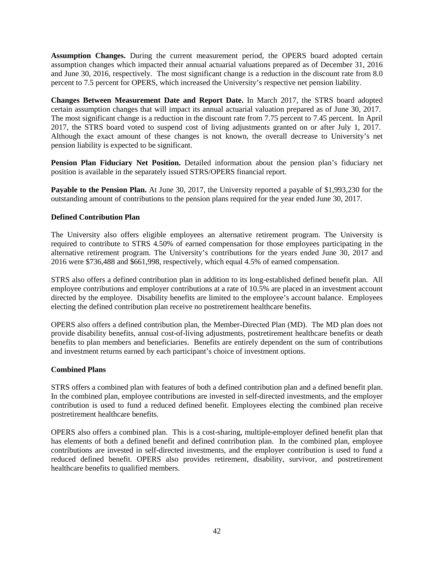**Assumption Changes.** During the current measurement period, the OPERS board adopted certain assumption changes which impacted their annual actuarial valuations prepared as of December 31, 2016 and June 30, 2016, respectively. The most significant change is a reduction in the discount rate from 8.0 percent to 7.5 percent for OPERS, which increased the University's respective net pension liability.

**Changes Between Measurement Date and Report Date.** In March 2017, the STRS board adopted certain assumption changes that will impact its annual actuarial valuation prepared as of June 30, 2017. The most significant change is a reduction in the discount rate from 7.75 percent to 7.45 percent. In April 2017, the STRS board voted to suspend cost of living adjustments granted on or after July 1, 2017. Although the exact amount of these changes is not known, the overall decrease to University's net pension liability is expected to be significant.

**Pension Plan Fiduciary Net Position.** Detailed information about the pension plan's fiduciary net position is available in the separately issued STRS/OPERS financial report.

**Payable to the Pension Plan.** At June 30, 2017, the University reported a payable of \$1,993,230 for the outstanding amount of contributions to the pension plans required for the year ended June 30, 2017.

# **Defined Contribution Plan**

The University also offers eligible employees an alternative retirement program. The University is required to contribute to STRS 4.50% of earned compensation for those employees participating in the alternative retirement program. The University's contributions for the years ended June 30, 2017 and 2016 were \$736,488 and \$661,998, respectively, which equal 4.5% of earned compensation.

STRS also offers a defined contribution plan in addition to its long-established defined benefit plan. All employee contributions and employer contributions at a rate of 10.5% are placed in an investment account directed by the employee. Disability benefits are limited to the employee's account balance. Employees electing the defined contribution plan receive no postretirement healthcare benefits.

OPERS also offers a defined contribution plan, the Member-Directed Plan (MD). The MD plan does not provide disability benefits, annual cost-of-living adjustments, postretirement healthcare benefits or death benefits to plan members and beneficiaries. Benefits are entirely dependent on the sum of contributions and investment returns earned by each participant's choice of investment options.

## **Combined Plans**

STRS offers a combined plan with features of both a defined contribution plan and a defined benefit plan. In the combined plan, employee contributions are invested in self-directed investments, and the employer contribution is used to fund a reduced defined benefit. Employees electing the combined plan receive postretirement healthcare benefits.

OPERS also offers a combined plan. This is a cost-sharing, multiple-employer defined benefit plan that has elements of both a defined benefit and defined contribution plan. In the combined plan, employee contributions are invested in self-directed investments, and the employer contribution is used to fund a reduced defined benefit. OPERS also provides retirement, disability, survivor, and postretirement healthcare benefits to qualified members.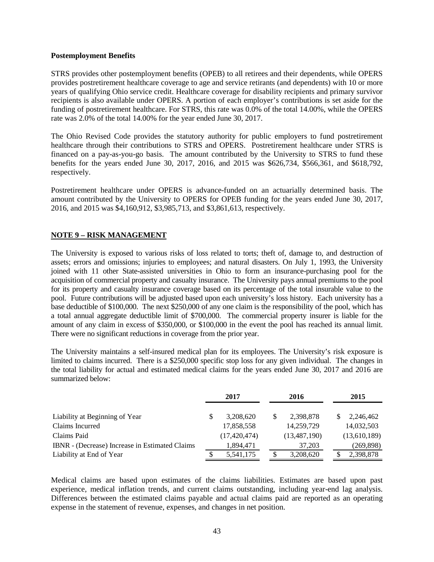#### **Postemployment Benefits**

STRS provides other postemployment benefits (OPEB) to all retirees and their dependents, while OPERS provides postretirement healthcare coverage to age and service retirants (and dependents) with 10 or more years of qualifying Ohio service credit. Healthcare coverage for disability recipients and primary survivor recipients is also available under OPERS. A portion of each employer's contributions is set aside for the funding of postretirement healthcare. For STRS, this rate was 0.0% of the total 14.00%, while the OPERS rate was 2.0% of the total 14.00% for the year ended June 30, 2017.

The Ohio Revised Code provides the statutory authority for public employers to fund postretirement healthcare through their contributions to STRS and OPERS. Postretirement healthcare under STRS is financed on a pay-as-you-go basis. The amount contributed by the University to STRS to fund these benefits for the years ended June 30, 2017, 2016, and 2015 was \$626,734, \$566,361, and \$618,792, respectively.

Postretirement healthcare under OPERS is advance-funded on an actuarially determined basis. The amount contributed by the University to OPERS for OPEB funding for the years ended June 30, 2017, 2016, and 2015 was \$4,160,912, \$3,985,713, and \$3,861,613, respectively.

# **NOTE 9 – RISK MANAGEMENT**

The University is exposed to various risks of loss related to torts; theft of, damage to, and destruction of assets; errors and omissions; injuries to employees; and natural disasters. On July 1, 1993, the University joined with 11 other State-assisted universities in Ohio to form an insurance-purchasing pool for the acquisition of commercial property and casualty insurance. The University pays annual premiums to the pool for its property and casualty insurance coverage based on its percentage of the total insurable value to the pool. Future contributions will be adjusted based upon each university's loss history. Each university has a base deductible of \$100,000. The next \$250,000 of any one claim is the responsibility of the pool, which has a total annual aggregate deductible limit of \$700,000. The commercial property insurer is liable for the amount of any claim in excess of \$350,000, or \$100,000 in the event the pool has reached its annual limit. There were no significant reductions in coverage from the prior year.

The University maintains a self-insured medical plan for its employees. The University's risk exposure is limited to claims incurred. There is a \$250,000 specific stop loss for any given individual. The changes in the total liability for actual and estimated medical claims for the years ended June 30, 2017 and 2016 are summarized below:

|                                                | 2017            | 2016            | 2015         |
|------------------------------------------------|-----------------|-----------------|--------------|
| Liability at Beginning of Year                 | \$<br>3,208,620 | \$<br>2,398,878 | 2,246,462    |
| Claims Incurred                                | 17,858,558      | 14,259,729      | 14,032,503   |
| Claims Paid                                    | (17, 420, 474)  | (13, 487, 190)  | (13,610,189) |
| IBNR - (Decrease) Increase in Estimated Claims | 1.894.471       | 37.203          | (269, 898)   |
| Liability at End of Year                       | 5,541,175       | \$<br>3,208,620 | 2,398,878    |

Medical claims are based upon estimates of the claims liabilities. Estimates are based upon past experience, medical inflation trends, and current claims outstanding, including year-end lag analysis. Differences between the estimated claims payable and actual claims paid are reported as an operating expense in the statement of revenue, expenses, and changes in net position.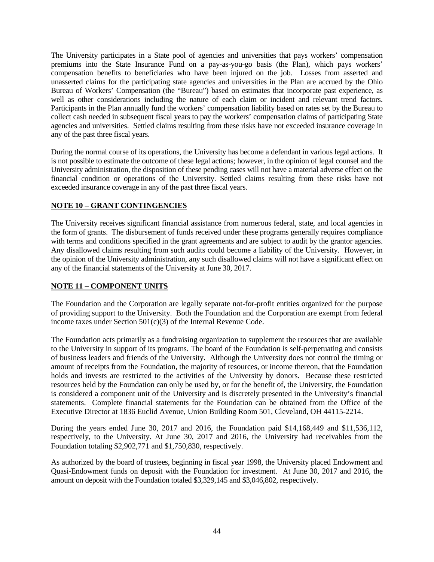The University participates in a State pool of agencies and universities that pays workers' compensation premiums into the State Insurance Fund on a pay-as-you-go basis (the Plan), which pays workers' compensation benefits to beneficiaries who have been injured on the job. Losses from asserted and unasserted claims for the participating state agencies and universities in the Plan are accrued by the Ohio Bureau of Workers' Compensation (the "Bureau") based on estimates that incorporate past experience, as well as other considerations including the nature of each claim or incident and relevant trend factors. Participants in the Plan annually fund the workers' compensation liability based on rates set by the Bureau to collect cash needed in subsequent fiscal years to pay the workers' compensation claims of participating State agencies and universities. Settled claims resulting from these risks have not exceeded insurance coverage in any of the past three fiscal years.

During the normal course of its operations, the University has become a defendant in various legal actions. It is not possible to estimate the outcome of these legal actions; however, in the opinion of legal counsel and the University administration, the disposition of these pending cases will not have a material adverse effect on the financial condition or operations of the University. Settled claims resulting from these risks have not exceeded insurance coverage in any of the past three fiscal years.

# **NOTE 10 – GRANT CONTINGENCIES**

The University receives significant financial assistance from numerous federal, state, and local agencies in the form of grants. The disbursement of funds received under these programs generally requires compliance with terms and conditions specified in the grant agreements and are subject to audit by the grantor agencies. Any disallowed claims resulting from such audits could become a liability of the University. However, in the opinion of the University administration, any such disallowed claims will not have a significant effect on any of the financial statements of the University at June 30, 2017.

## **NOTE 11 – COMPONENT UNITS**

The Foundation and the Corporation are legally separate not-for-profit entities organized for the purpose of providing support to the University. Both the Foundation and the Corporation are exempt from federal income taxes under Section 501(c)(3) of the Internal Revenue Code.

The Foundation acts primarily as a fundraising organization to supplement the resources that are available to the University in support of its programs. The board of the Foundation is self-perpetuating and consists of business leaders and friends of the University. Although the University does not control the timing or amount of receipts from the Foundation, the majority of resources, or income thereon, that the Foundation holds and invests are restricted to the activities of the University by donors. Because these restricted resources held by the Foundation can only be used by, or for the benefit of, the University, the Foundation is considered a component unit of the University and is discretely presented in the University's financial statements. Complete financial statements for the Foundation can be obtained from the Office of the Executive Director at 1836 Euclid Avenue, Union Building Room 501, Cleveland, OH 44115-2214.

During the years ended June 30, 2017 and 2016, the Foundation paid \$14,168,449 and \$11,536,112, respectively, to the University. At June 30, 2017 and 2016, the University had receivables from the Foundation totaling \$2,902,771 and \$1,750,830, respectively.

As authorized by the board of trustees, beginning in fiscal year 1998, the University placed Endowment and Quasi-Endowment funds on deposit with the Foundation for investment. At June 30, 2017 and 2016, the amount on deposit with the Foundation totaled \$3,329,145 and \$3,046,802, respectively.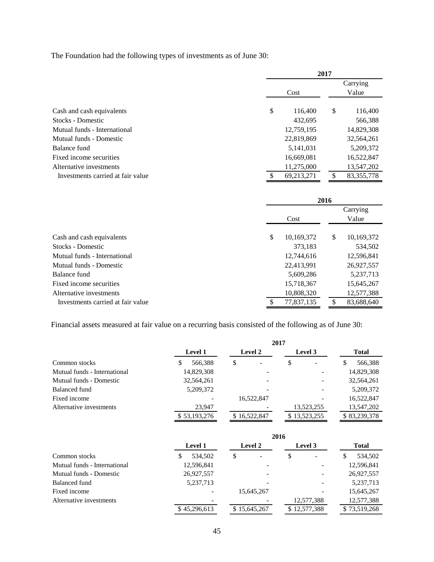The Foundation had the following types of investments as of June 30:

|                                   | 2017<br>Carrying |    |              |  |  |  |  |  |
|-----------------------------------|------------------|----|--------------|--|--|--|--|--|
|                                   | Cost             |    | Value        |  |  |  |  |  |
| Cash and cash equivalents         | \$<br>116,400    | \$ | 116,400      |  |  |  |  |  |
| Stocks - Domestic                 | 432,695          |    | 566,388      |  |  |  |  |  |
| Mutual funds - International      | 12,759,195       |    | 14,829,308   |  |  |  |  |  |
| Mutual funds - Domestic           | 22,819,869       |    | 32,564,261   |  |  |  |  |  |
| Balance fund                      | 5,141,031        |    | 5,209,372    |  |  |  |  |  |
| Fixed income securities           | 16,669,081       |    | 16,522,847   |  |  |  |  |  |
| Alternative investments           | 11,275,000       |    | 13,547,202   |  |  |  |  |  |
| Investments carried at fair value | 69,213,271       | S  | 83, 355, 778 |  |  |  |  |  |

| 2016          |            |    |            |  |  |  |
|---------------|------------|----|------------|--|--|--|
|               |            |    | Carrying   |  |  |  |
| Value<br>Cost |            |    |            |  |  |  |
| \$            | 10,169,372 | \$ | 10,169,372 |  |  |  |
|               | 373,183    |    | 534,502    |  |  |  |
|               | 12,744,616 |    | 12,596,841 |  |  |  |
|               | 22,413,991 |    | 26,927,557 |  |  |  |
|               | 5,609,286  |    | 5,237,713  |  |  |  |
|               | 15,718,367 |    | 15,645,267 |  |  |  |
|               | 10,808,320 |    | 12,577,388 |  |  |  |
|               | 77,837,135 |    | 83,688,640 |  |  |  |
|               |            |    |            |  |  |  |

Financial assets measured at fair value on a recurring basis consisted of the following as of June 30:

|                              |                |                | 2017         |               |
|------------------------------|----------------|----------------|--------------|---------------|
|                              | <b>Level 1</b> | <b>Level 2</b> | Level 3      | Total         |
| Common stocks                | 566,388        | \$             | \$           | 566,388<br>\$ |
| Mutual funds - International | 14,829,308     |                |              | 14,829,308    |
| Mutual funds - Domestic      | 32,564,261     |                |              | 32,564,261    |
| Balanced fund                | 5,209,372      |                |              | 5,209,372     |
| Fixed income                 | -              | 16,522,847     |              | 16,522,847    |
| Alternative investments      | 23,947         |                | 13,523,255   | 13,547,202    |
|                              | \$53,193,276   | \$16,522,847   | \$13,523,255 | \$83,239,378  |

|                              |                          |              | 2016         |              |
|------------------------------|--------------------------|--------------|--------------|--------------|
|                              | <b>Level 1</b>           | Level 2      | Level 3      | Total        |
| Common stocks                | 534,502<br>S             | \$           | \$           | 534,502<br>S |
| Mutual funds - International | 12,596,841               |              |              | 12,596,841   |
| Mutual funds - Domestic      | 26,927,557               |              |              | 26,927,557   |
| Balanced fund                | 5,237,713                |              |              | 5,237,713    |
| Fixed income                 | $\overline{\phantom{a}}$ | 15,645,267   |              | 15,645,267   |
| Alternative investments      | $\overline{\phantom{a}}$ |              | 12,577,388   | 12,577,388   |
|                              | \$45,296,613             | \$15,645,267 | \$12,577,388 | \$73,519,268 |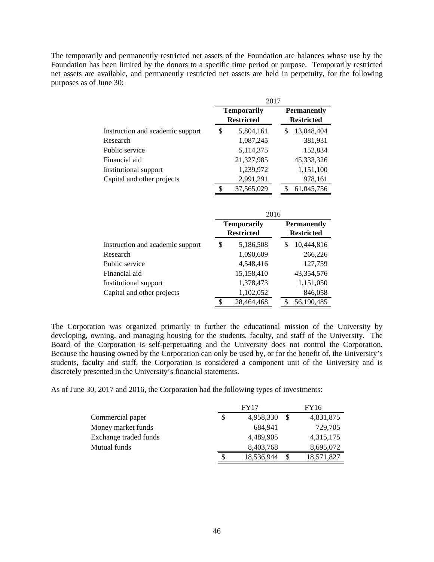The temporarily and permanently restricted net assets of the Foundation are balances whose use by the Foundation has been limited by the donors to a specific time period or purpose. Temporarily restricted net assets are available, and permanently restricted net assets are held in perpetuity, for the following purposes as of June 30:

|                                  | 2017 |                                         |    |                                         |  |  |  |  |
|----------------------------------|------|-----------------------------------------|----|-----------------------------------------|--|--|--|--|
|                                  |      | <b>Temporarily</b><br><b>Restricted</b> |    | <b>Permanently</b><br><b>Restricted</b> |  |  |  |  |
| Instruction and academic support | \$   | 5,804,161                               | \$ | 13,048,404                              |  |  |  |  |
| Research                         |      | 1,087,245                               |    | 381,931                                 |  |  |  |  |
| Public service                   |      | 5,114,375                               |    | 152,834                                 |  |  |  |  |
| Financial aid                    |      | 21,327,985                              |    | 45,333,326                              |  |  |  |  |
| Institutional support            |      | 1,239,972                               |    | 1,151,100                               |  |  |  |  |
| Capital and other projects       |      | 2,991,291                               |    | 978,161                                 |  |  |  |  |
|                                  | \$   | 37,565,029                              | \$ | 61,045,756                              |  |  |  |  |
|                                  |      | 2016                                    |    |                                         |  |  |  |  |
|                                  |      | <b>Temporarily</b>                      |    | <b>Permanently</b>                      |  |  |  |  |
|                                  |      | <b>Restricted</b>                       |    | <b>Restricted</b>                       |  |  |  |  |
| Instruction and academic support | \$   | 5,186,508                               | \$ | 10,444,816                              |  |  |  |  |
| Research                         |      | 1,090,609                               |    | 266,226                                 |  |  |  |  |
| Public service                   |      | 4,548,416                               |    | 127,759                                 |  |  |  |  |
| Financial aid                    |      |                                         |    |                                         |  |  |  |  |
|                                  |      | 15,158,410                              |    | 43,354,576                              |  |  |  |  |
| Institutional support            |      | 1,378,473                               |    | 1,151,050                               |  |  |  |  |
| Capital and other projects       |      | 1,102,052                               |    | 846,058                                 |  |  |  |  |

The Corporation was organized primarily to further the educational mission of the University by developing, owning, and managing housing for the students, faculty, and staff of the University. The Board of the Corporation is self-perpetuating and the University does not control the Corporation. Because the housing owned by the Corporation can only be used by, or for the benefit of, the University's students, faculty and staff, the Corporation is considered a component unit of the University and is discretely presented in the University's financial statements.

As of June 30, 2017 and 2016, the Corporation had the following types of investments:

|                       | <b>FY17</b>      | FY16 |            |  |  |  |
|-----------------------|------------------|------|------------|--|--|--|
| Commercial paper      | 4,958,330        | -S   | 4,831,875  |  |  |  |
| Money market funds    | 684,941          |      | 729,705    |  |  |  |
| Exchange traded funds | 4,489,905        |      | 4,315,175  |  |  |  |
| Mutual funds          | 8,403,768        |      | 8,695,072  |  |  |  |
|                       | \$<br>18,536,944 |      | 18,571,827 |  |  |  |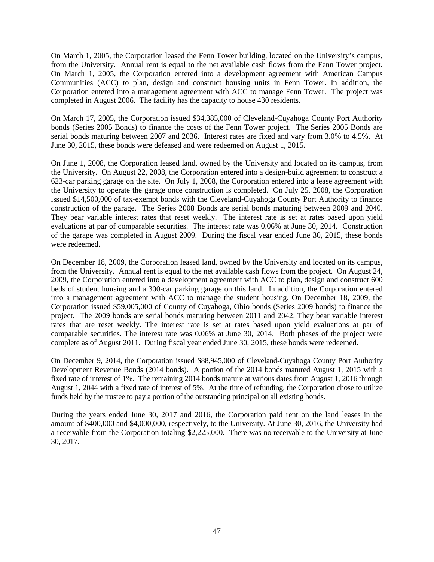On March 1, 2005, the Corporation leased the Fenn Tower building, located on the University's campus, from the University. Annual rent is equal to the net available cash flows from the Fenn Tower project. On March 1, 2005, the Corporation entered into a development agreement with American Campus Communities (ACC) to plan, design and construct housing units in Fenn Tower. In addition, the Corporation entered into a management agreement with ACC to manage Fenn Tower. The project was completed in August 2006. The facility has the capacity to house 430 residents.

On March 17, 2005, the Corporation issued \$34,385,000 of Cleveland-Cuyahoga County Port Authority bonds (Series 2005 Bonds) to finance the costs of the Fenn Tower project. The Series 2005 Bonds are serial bonds maturing between 2007 and 2036. Interest rates are fixed and vary from 3.0% to 4.5%. At June 30, 2015, these bonds were defeased and were redeemed on August 1, 2015.

On June 1, 2008, the Corporation leased land, owned by the University and located on its campus, from the University. On August 22, 2008, the Corporation entered into a design-build agreement to construct a 623-car parking garage on the site. On July 1, 2008, the Corporation entered into a lease agreement with the University to operate the garage once construction is completed. On July 25, 2008, the Corporation issued \$14,500,000 of tax-exempt bonds with the Cleveland-Cuyahoga County Port Authority to finance construction of the garage. The Series 2008 Bonds are serial bonds maturing between 2009 and 2040. They bear variable interest rates that reset weekly. The interest rate is set at rates based upon yield evaluations at par of comparable securities. The interest rate was 0.06% at June 30, 2014. Construction of the garage was completed in August 2009. During the fiscal year ended June 30, 2015, these bonds were redeemed.

On December 18, 2009, the Corporation leased land, owned by the University and located on its campus, from the University. Annual rent is equal to the net available cash flows from the project. On August 24, 2009, the Corporation entered into a development agreement with ACC to plan, design and construct 600 beds of student housing and a 300-car parking garage on this land. In addition, the Corporation entered into a management agreement with ACC to manage the student housing. On December 18, 2009, the Corporation issued \$59,005,000 of County of Cuyahoga, Ohio bonds (Series 2009 bonds) to finance the project. The 2009 bonds are serial bonds maturing between 2011 and 2042. They bear variable interest rates that are reset weekly. The interest rate is set at rates based upon yield evaluations at par of comparable securities. The interest rate was 0.06% at June 30, 2014. Both phases of the project were complete as of August 2011. During fiscal year ended June 30, 2015, these bonds were redeemed.

On December 9, 2014, the Corporation issued \$88,945,000 of Cleveland-Cuyahoga County Port Authority Development Revenue Bonds (2014 bonds). A portion of the 2014 bonds matured August 1, 2015 with a fixed rate of interest of 1%. The remaining 2014 bonds mature at various dates from August 1, 2016 through August 1, 2044 with a fixed rate of interest of 5%. At the time of refunding, the Corporation chose to utilize funds held by the trustee to pay a portion of the outstanding principal on all existing bonds.

During the years ended June 30, 2017 and 2016, the Corporation paid rent on the land leases in the amount of \$400,000 and \$4,000,000, respectively, to the University. At June 30, 2016, the University had a receivable from the Corporation totaling \$2,225,000. There was no receivable to the University at June 30, 2017.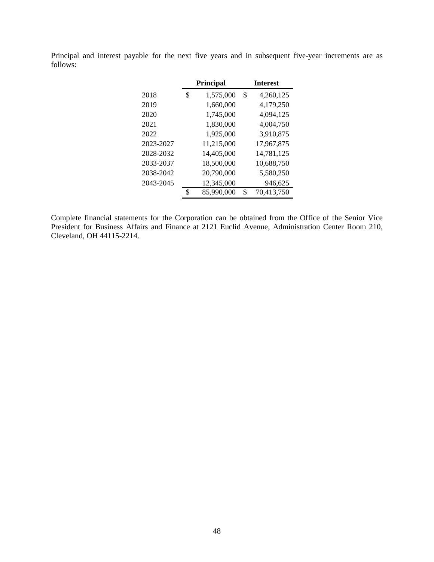Principal and interest payable for the next five years and in subsequent five-year increments are as follows:

|           | <b>Principal</b> | <b>Interest</b> |            |  |  |  |  |
|-----------|------------------|-----------------|------------|--|--|--|--|
| 2018      | \$<br>1,575,000  | \$              | 4,260,125  |  |  |  |  |
| 2019      | 1,660,000        |                 | 4,179,250  |  |  |  |  |
| 2020      | 1,745,000        |                 | 4,094,125  |  |  |  |  |
| 2021      | 1,830,000        |                 | 4,004,750  |  |  |  |  |
| 2022      | 1,925,000        |                 | 3,910,875  |  |  |  |  |
| 2023-2027 | 11,215,000       |                 | 17,967,875 |  |  |  |  |
| 2028-2032 | 14,405,000       |                 | 14,781,125 |  |  |  |  |
| 2033-2037 | 18,500,000       |                 | 10,688,750 |  |  |  |  |
| 2038-2042 | 20,790,000       |                 | 5,580,250  |  |  |  |  |
| 2043-2045 | 12,345,000       |                 | 946,625    |  |  |  |  |
|           | \$<br>85,990,000 | S               | 70,413,750 |  |  |  |  |

Complete financial statements for the Corporation can be obtained from the Office of the Senior Vice President for Business Affairs and Finance at 2121 Euclid Avenue, Administration Center Room 210, Cleveland, OH 44115-2214.